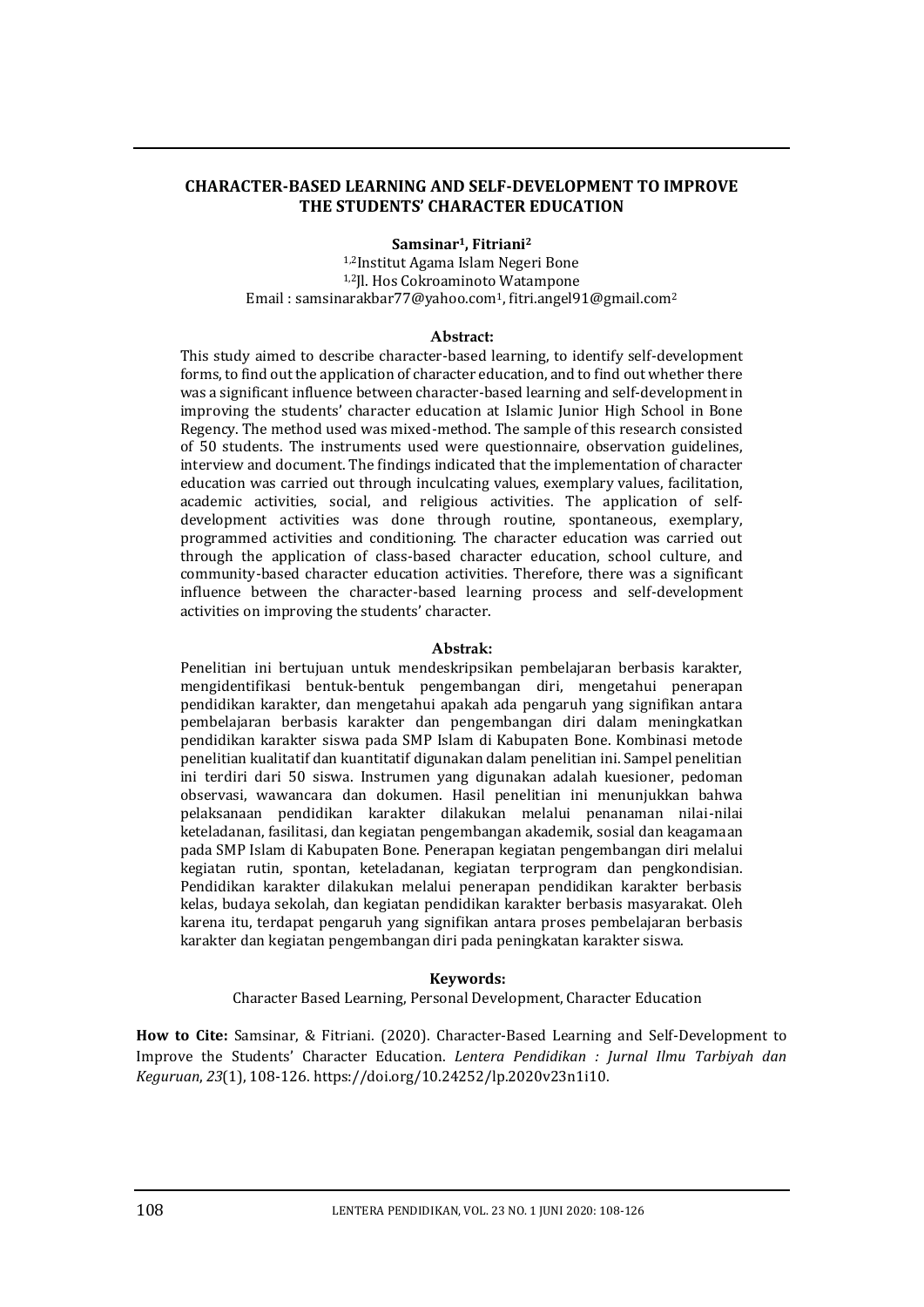### **CHARACTER-BASED LEARNING AND SELF-DEVELOPMENT TO IMPROVE THE STUDENTS' CHARACTER EDUCATION**

#### **Samsinar1, Fitriani<sup>2</sup>**

1,2Institut Agama Islam Negeri Bone 1,2Jl. Hos Cokroaminoto Watampone Email : samsinarakbar77@yahoo.com1, fitri.angel91@gmail.com<sup>2</sup>

#### **Abstract:**

This study aimed to describe character-based learning, to identify self-development forms, to find out the application of character education, and to find out whether there was a significant influence between character-based learning and self-development in improving the students' character education at Islamic Junior High School in Bone Regency. The method used was mixed-method. The sample of this research consisted of 50 students. The instruments used were questionnaire, observation guidelines, interview and document. The findings indicated that the implementation of character education was carried out through inculcating values, exemplary values, facilitation, academic activities, social, and religious activities. The application of selfdevelopment activities was done through routine, spontaneous, exemplary, programmed activities and conditioning. The character education was carried out through the application of class-based character education, school culture, and community-based character education activities. Therefore, there was a significant influence between the character-based learning process and self-development activities on improving the students' character.

#### **Abstrak:**

Penelitian ini bertujuan untuk mendeskripsikan pembelajaran berbasis karakter, mengidentifikasi bentuk-bentuk pengembangan diri, mengetahui penerapan pendidikan karakter, dan mengetahui apakah ada pengaruh yang signifikan antara pembelajaran berbasis karakter dan pengembangan diri dalam meningkatkan pendidikan karakter siswa pada SMP Islam di Kabupaten Bone. Kombinasi metode penelitian kualitatif dan kuantitatif digunakan dalam penelitian ini. Sampel penelitian ini terdiri dari 50 siswa. Instrumen yang digunakan adalah kuesioner, pedoman observasi, wawancara dan dokumen. Hasil penelitian ini menunjukkan bahwa pelaksanaan pendidikan karakter dilakukan melalui penanaman nilai-nilai keteladanan, fasilitasi, dan kegiatan pengembangan akademik, sosial dan keagamaan pada SMP Islam di Kabupaten Bone. Penerapan kegiatan pengembangan diri melalui kegiatan rutin, spontan, keteladanan, kegiatan terprogram dan pengkondisian. Pendidikan karakter dilakukan melalui penerapan pendidikan karakter berbasis kelas, budaya sekolah, dan kegiatan pendidikan karakter berbasis masyarakat. Oleh karena itu, terdapat pengaruh yang signifikan antara proses pembelajaran berbasis karakter dan kegiatan pengembangan diri pada peningkatan karakter siswa.

### **Keywords:**

Character Based Learning, Personal Development, Character Education

**How to Cite:** Samsinar, & Fitriani. (2020). Character-Based Learning and Self-Development to Improve the Students' Character Education. *Lentera Pendidikan : Jurnal Ilmu Tarbiyah dan Keguruan*, *23*(1), 108-126. https://doi.org/10.24252/lp.2020v23n1i10.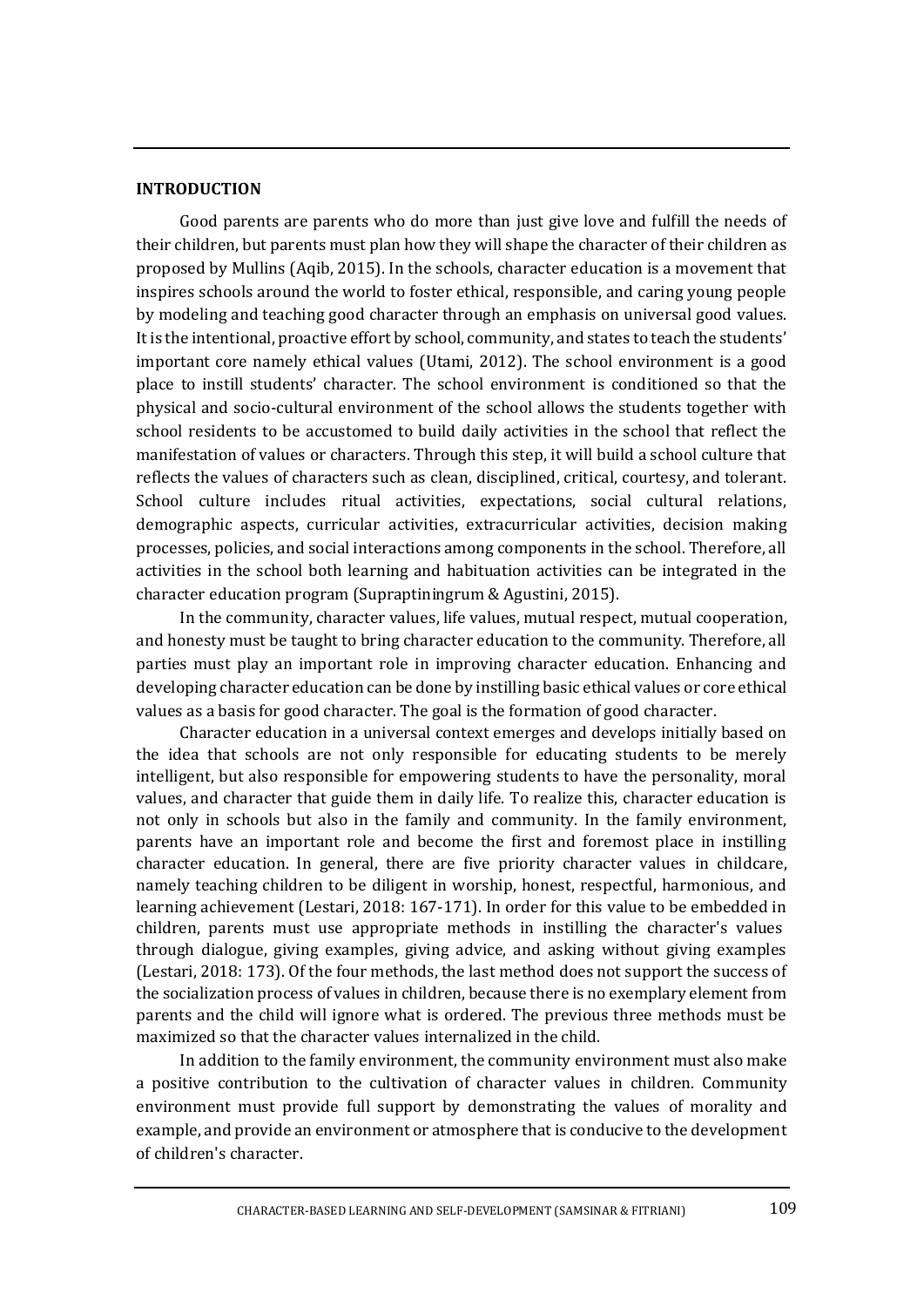## **INTRODUCTION**

Good parents are parents who do more than just give love and fulfill the needs of their children, but parents must plan how they will shape the character of their children as proposed by Mullins (Aqib, 2015). In the schools, character education is a movement that inspires schools around the world to foster ethical, responsible, and caring young people by modeling and teaching good character through an emphasis on universal good values. It is the intentional, proactive effort by school, community, and states to teach the students' important core namely ethical values (Utami, 2012). The school environment is a good place to instill students' character. The school environment is conditioned so that the physical and socio-cultural environment of the school allows the students together with school residents to be accustomed to build daily activities in the school that reflect the manifestation of values or characters. Through this step, it will build a school culture that reflects the values of characters such as clean, disciplined, critical, courtesy, and tolerant. School culture includes ritual activities, expectations, social cultural relations, demographic aspects, curricular activities, extracurricular activities, decision making processes, policies, and social interactions among components in the school. Therefore, all activities in the school both learning and habituation activities can be integrated in the character education program (Supraptiningrum & Agustini, 2015).

In the community, character values, life values, mutual respect, mutual cooperation, and honesty must be taught to bring character education to the community. Therefore, all parties must play an important role in improving character education. Enhancing and developing character education can be done by instilling basic ethical values or core ethical values as a basis for good character. The goal is the formation of good character.

Character education in a universal context emerges and develops initially based on the idea that schools are not only responsible for educating students to be merely intelligent, but also responsible for empowering students to have the personality, moral values, and character that guide them in daily life. To realize this, character education is not only in schools but also in the family and community. In the family environment, parents have an important role and become the first and foremost place in instilling character education. In general, there are five priority character values in childcare, namely teaching children to be diligent in worship, honest, respectful, harmonious, and learning achievement (Lestari, 2018: 167-171). In order for this value to be embedded in children, parents must use appropriate methods in instilling the character's values through dialogue, giving examples, giving advice, and asking without giving examples (Lestari, 2018: 173). Of the four methods, the last method does not support the success of the socialization process of values in children, because there is no exemplary element from parents and the child will ignore what is ordered. The previous three methods must be maximized so that the character values internalized in the child.

In addition to the family environment, the community environment must also make a positive contribution to the cultivation of character values in children. Community environment must provide full support by demonstrating the values of morality and example, and provide an environment or atmosphere that is conducive to the development of children's character.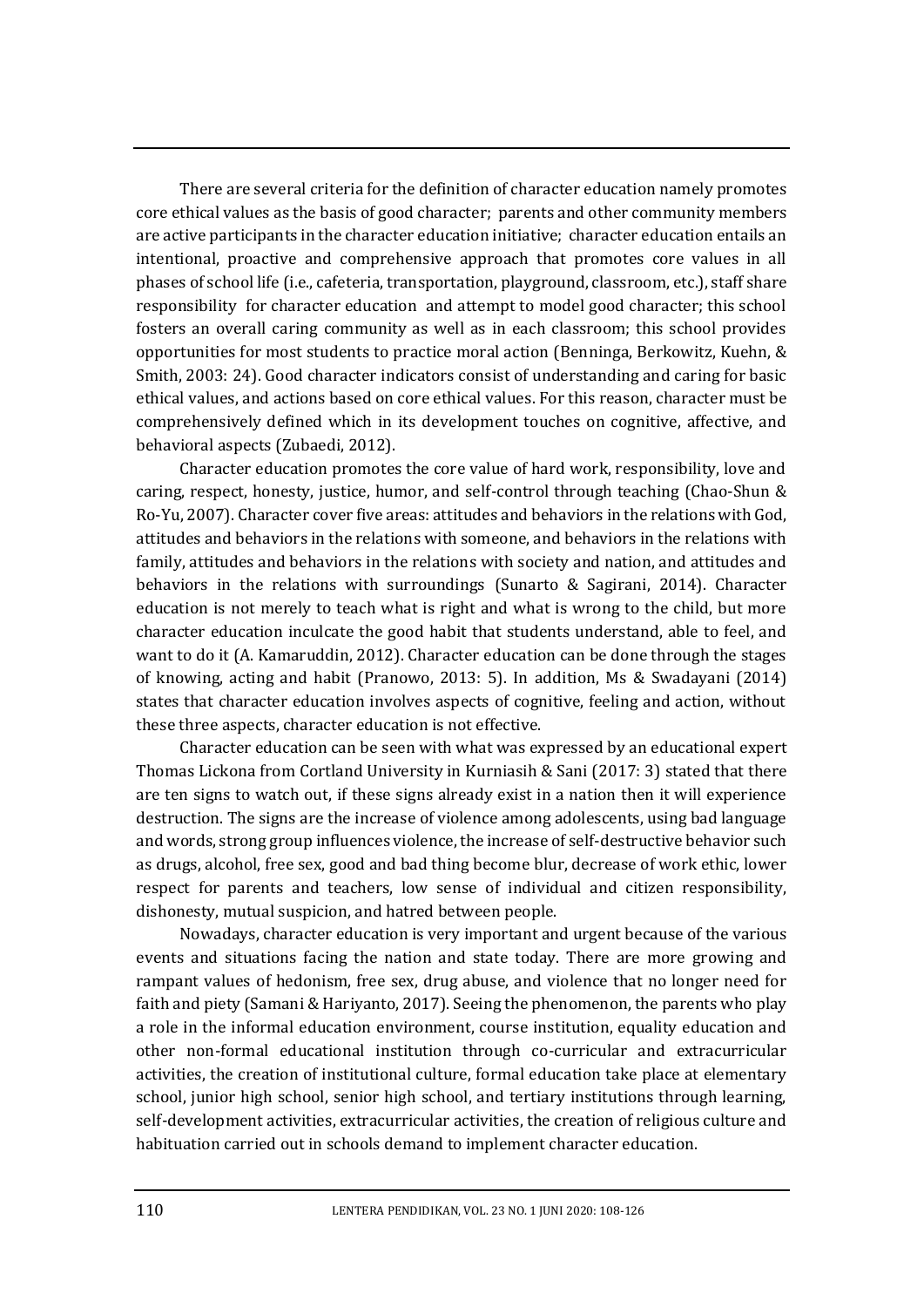There are several criteria for the definition of character education namely promotes core ethical values as the basis of good character; parents and other community members are active participants in the character education initiative; character education entails an intentional, proactive and comprehensive approach that promotes core values in all phases of school life (i.e., cafeteria, transportation, playground, classroom, etc.), staff share responsibility for character education and attempt to model good character; this school fosters an overall caring community as well as in each classroom; this school provides opportunities for most students to practice moral action (Benninga, Berkowitz, Kuehn, & Smith, 2003: 24). Good character indicators consist of understanding and caring for basic ethical values, and actions based on core ethical values. For this reason, character must be comprehensively defined which in its development touches on cognitive, affective, and behavioral aspects (Zubaedi, 2012).

Character education promotes the core value of hard work, responsibility, love and caring, respect, honesty, justice, humor, and self-control through teaching (Chao-Shun & Ro-Yu, 2007). Character cover five areas: attitudes and behaviors in the relations with God, attitudes and behaviors in the relations with someone, and behaviors in the relations with family, attitudes and behaviors in the relations with society and nation, and attitudes and behaviors in the relations with surroundings (Sunarto & Sagirani, 2014). Character education is not merely to teach what is right and what is wrong to the child, but more character education inculcate the good habit that students understand, able to feel, and want to do it (A. Kamaruddin, 2012). Character education can be done through the stages of knowing, acting and habit (Pranowo, 2013: 5). In addition, Ms & Swadayani (2014) states that character education involves aspects of cognitive, feeling and action, without these three aspects, character education is not effective.

Character education can be seen with what was expressed by an educational expert Thomas Lickona from Cortland University in Kurniasih & Sani (2017: 3) stated that there are ten signs to watch out, if these signs already exist in a nation then it will experience destruction. The signs are the increase of violence among adolescents, using bad language and words, strong group influences violence, the increase of self-destructive behavior such as drugs, alcohol, free sex, good and bad thing become blur, decrease of work ethic, lower respect for parents and teachers, low sense of individual and citizen responsibility, dishonesty, mutual suspicion, and hatred between people.

Nowadays, character education is very important and urgent because of the various events and situations facing the nation and state today. There are more growing and rampant values of hedonism, free sex, drug abuse, and violence that no longer need for faith and piety (Samani & Hariyanto, 2017). Seeing the phenomenon, the parents who play a role in the informal education environment, course institution, equality education and other non-formal educational institution through co-curricular and extracurricular activities, the creation of institutional culture, formal education take place at elementary school, junior high school, senior high school, and tertiary institutions through learning, self-development activities, extracurricular activities, the creation of religious culture and habituation carried out in schools demand to implement character education.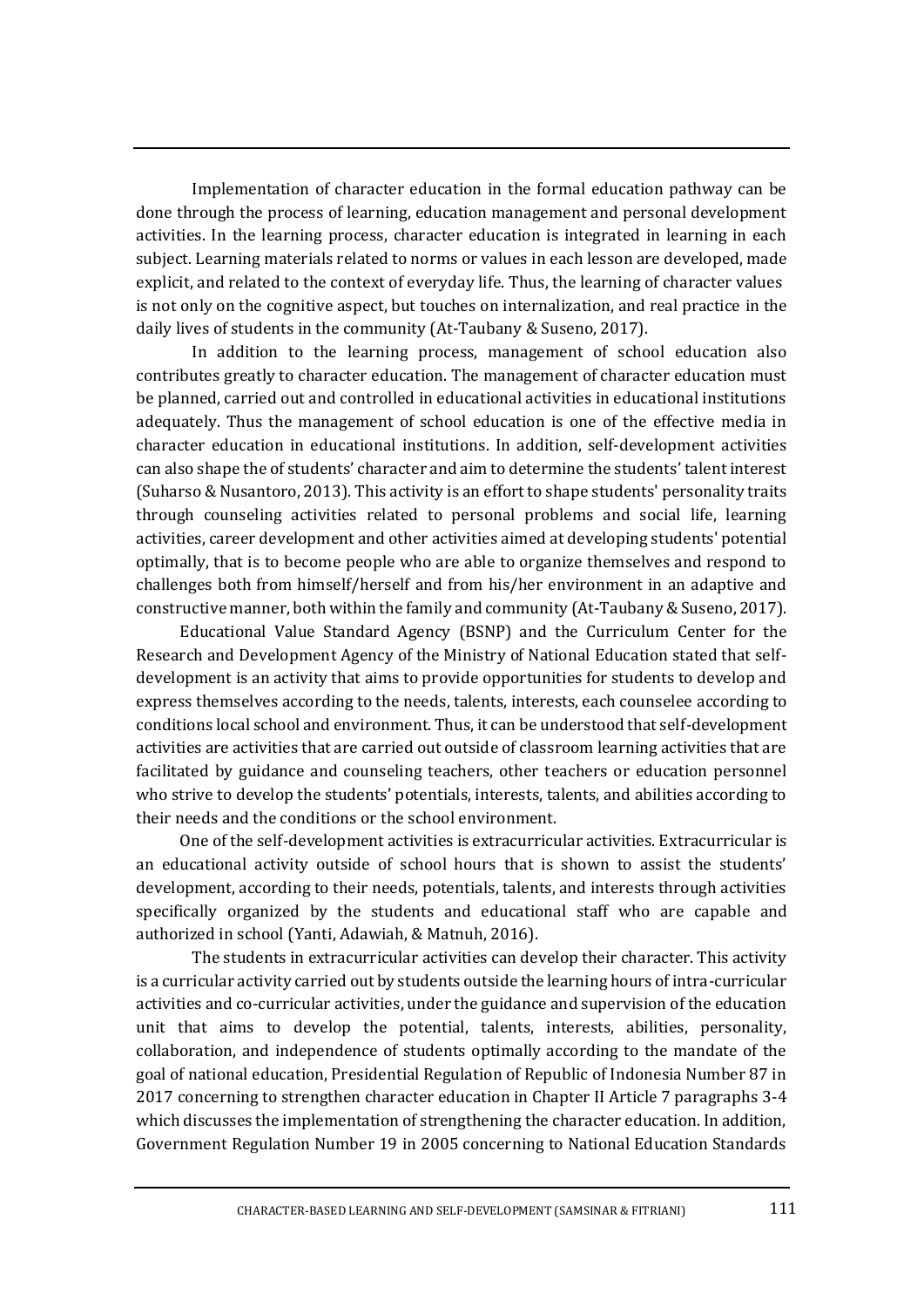Implementation of character education in the formal education pathway can be done through the process of learning, education management and personal development activities. In the learning process, character education is integrated in learning in each subject. Learning materials related to norms or values in each lesson are developed, made explicit, and related to the context of everyday life. Thus, the learning of character values is not only on the cognitive aspect, but touches on internalization, and real practice in the daily lives of students in the community (At-Taubany & Suseno, 2017).

In addition to the learning process, management of school education also contributes greatly to character education. The management of character education must be planned, carried out and controlled in educational activities in educational institutions adequately. Thus the management of school education is one of the effective media in character education in educational institutions. In addition, self-development activities can also shape the of students' character and aim to determine the students' talent interest (Suharso & Nusantoro, 2013). This activity is an effort to shape students' personality traits through counseling activities related to personal problems and social life, learning activities, career development and other activities aimed at developing students' potential optimally, that is to become people who are able to organize themselves and respond to challenges both from himself/herself and from his/her environment in an adaptive and constructive manner, both within the family and community (At-Taubany & Suseno, 2017).

Educational Value Standard Agency (BSNP) and the Curriculum Center for the Research and Development Agency of the Ministry of National Education stated that selfdevelopment is an activity that aims to provide opportunities for students to develop and express themselves according to the needs, talents, interests, each counselee according to conditions local school and environment. Thus, it can be understood that self-development activities are activities that are carried out outside of classroom learning activities that are facilitated by guidance and counseling teachers, other teachers or education personnel who strive to develop the students' potentials, interests, talents, and abilities according to their needs and the conditions or the school environment.

One of the self-development activities is extracurricular activities. Extracurricular is an educational activity outside of school hours that is shown to assist the students' development, according to their needs, potentials, talents, and interests through activities specifically organized by the students and educational staff who are capable and authorized in school (Yanti, Adawiah, & Matnuh, 2016).

The students in extracurricular activities can develop their character. This activity is a curricular activity carried out by students outside the learning hours of intra-curricular activities and co-curricular activities, under the guidance and supervision of the education unit that aims to develop the potential, talents, interests, abilities, personality, collaboration, and independence of students optimally according to the mandate of the goal of national education, Presidential Regulation of Republic of Indonesia Number 87 in 2017 concerning to strengthen character education in Chapter II Article 7 paragraphs 3-4 which discusses the implementation of strengthening the character education. In addition, Government Regulation Number 19 in 2005 concerning to National Education Standards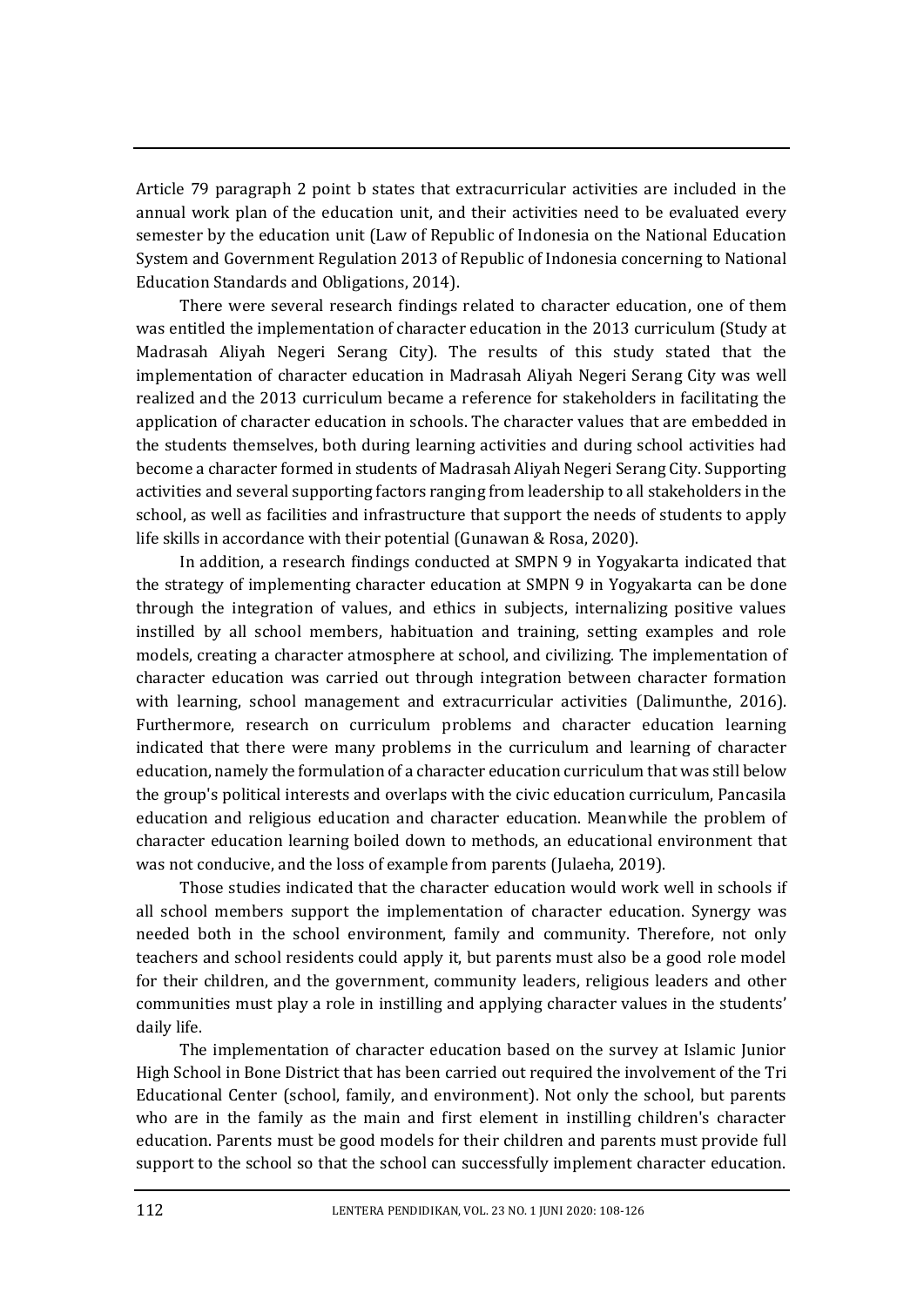Article 79 paragraph 2 point b states that extracurricular activities are included in the annual work plan of the education unit, and their activities need to be evaluated every semester by the education unit (Law of Republic of Indonesia on the National Education System and Government Regulation 2013 of Republic of Indonesia concerning to National Education Standards and Obligations, 2014).

There were several research findings related to character education, one of them was entitled the implementation of character education in the 2013 curriculum (Study at Madrasah Aliyah Negeri Serang City). The results of this study stated that the implementation of character education in Madrasah Aliyah Negeri Serang City was well realized and the 2013 curriculum became a reference for stakeholders in facilitating the application of character education in schools. The character values that are embedded in the students themselves, both during learning activities and during school activities had become a character formed in students of Madrasah Aliyah Negeri Serang City. Supporting activities and several supporting factors ranging from leadership to all stakeholders in the school, as well as facilities and infrastructure that support the needs of students to apply life skills in accordance with their potential (Gunawan & Rosa, 2020).

In addition, a research findings conducted at SMPN 9 in Yogyakarta indicated that the strategy of implementing character education at SMPN 9 in Yogyakarta can be done through the integration of values, and ethics in subjects, internalizing positive values instilled by all school members, habituation and training, setting examples and role models, creating a character atmosphere at school, and civilizing. The implementation of character education was carried out through integration between character formation with learning, school management and extracurricular activities (Dalimunthe, 2016). Furthermore, research on curriculum problems and character education learning indicated that there were many problems in the curriculum and learning of character education, namely the formulation of a character education curriculum that was still below the group's political interests and overlaps with the civic education curriculum, Pancasila education and religious education and character education. Meanwhile the problem of character education learning boiled down to methods, an educational environment that was not conducive, and the loss of example from parents (Julaeha, 2019).

Those studies indicated that the character education would work well in schools if all school members support the implementation of character education. Synergy was needed both in the school environment, family and community. Therefore, not only teachers and school residents could apply it, but parents must also be a good role model for their children, and the government, community leaders, religious leaders and other communities must play a role in instilling and applying character values in the students' daily life.

The implementation of character education based on the survey at Islamic Junior High School in Bone District that has been carried out required the involvement of the Tri Educational Center (school, family, and environment). Not only the school, but parents who are in the family as the main and first element in instilling children's character education. Parents must be good models for their children and parents must provide full support to the school so that the school can successfully implement character education.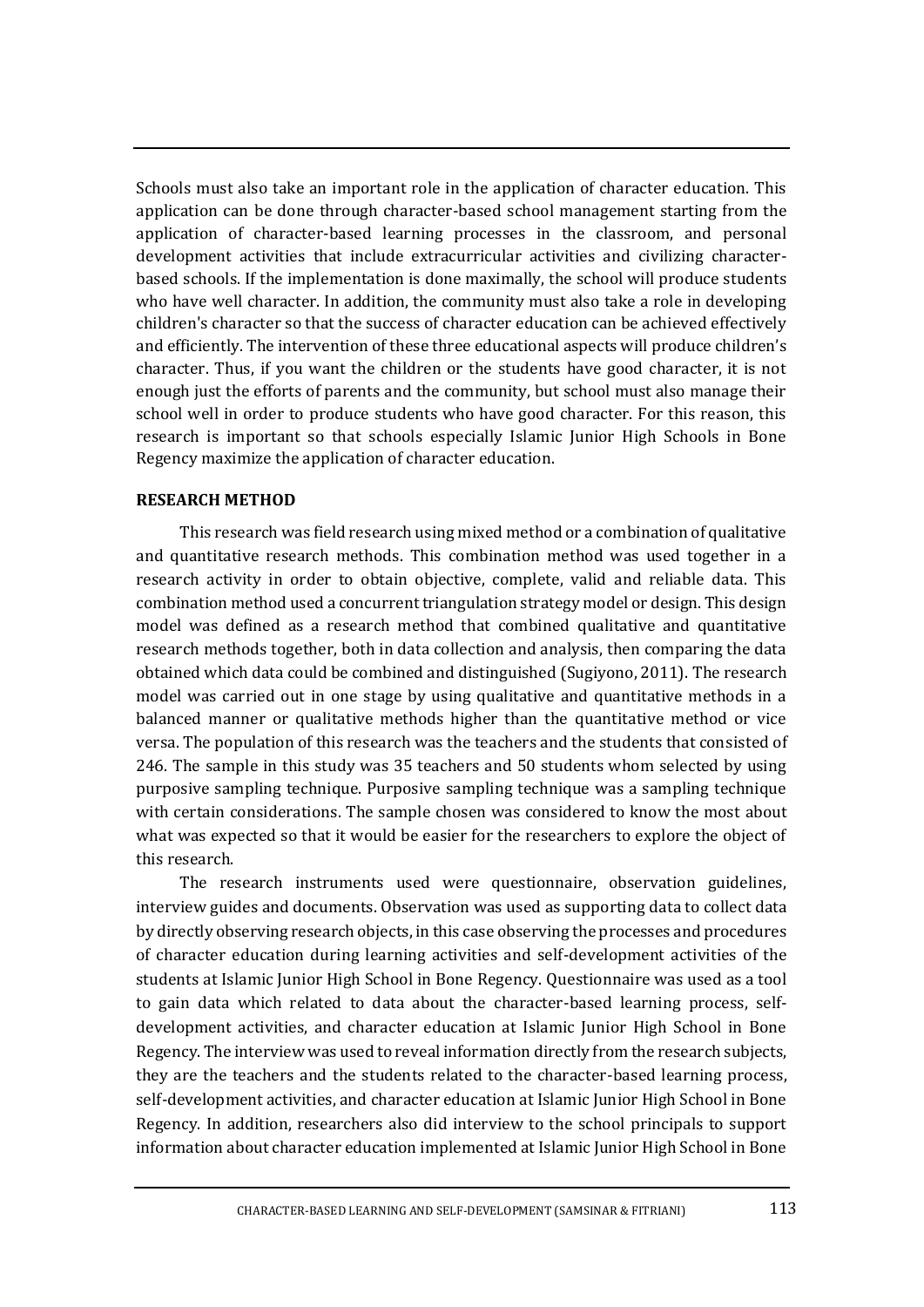Schools must also take an important role in the application of character education. This application can be done through character-based school management starting from the application of character-based learning processes in the classroom, and personal development activities that include extracurricular activities and civilizing characterbased schools. If the implementation is done maximally, the school will produce students who have well character. In addition, the community must also take a role in developing children's character so that the success of character education can be achieved effectively and efficiently. The intervention of these three educational aspects will produce children's character. Thus, if you want the children or the students have good character, it is not enough just the efforts of parents and the community, but school must also manage their school well in order to produce students who have good character. For this reason, this research is important so that schools especially Islamic Junior High Schools in Bone Regency maximize the application of character education.

### **RESEARCH METHOD**

This research was field research using mixed method or a combination of qualitative and quantitative research methods. This combination method was used together in a research activity in order to obtain objective, complete, valid and reliable data. This combination method used a concurrent triangulation strategy model or design. This design model was defined as a research method that combined qualitative and quantitative research methods together, both in data collection and analysis, then comparing the data obtained which data could be combined and distinguished (Sugiyono, 2011). The research model was carried out in one stage by using qualitative and quantitative methods in a balanced manner or qualitative methods higher than the quantitative method or vice versa. The population of this research was the teachers and the students that consisted of 246. The sample in this study was 35 teachers and 50 students whom selected by using purposive sampling technique. Purposive sampling technique was a sampling technique with certain considerations. The sample chosen was considered to know the most about what was expected so that it would be easier for the researchers to explore the object of this research.

The research instruments used were questionnaire, observation guidelines, interview guides and documents. Observation was used as supporting data to collect data by directly observing research objects, in this case observing the processes and procedures of character education during learning activities and self-development activities of the students at Islamic Junior High School in Bone Regency. Questionnaire was used as a tool to gain data which related to data about the character-based learning process, selfdevelopment activities, and character education at Islamic Junior High School in Bone Regency. The interview was used to reveal information directly from the research subjects, they are the teachers and the students related to the character-based learning process, self-development activities, and character education at Islamic Junior High School in Bone Regency. In addition, researchers also did interview to the school principals to support information about character education implemented at Islamic Junior High School in Bone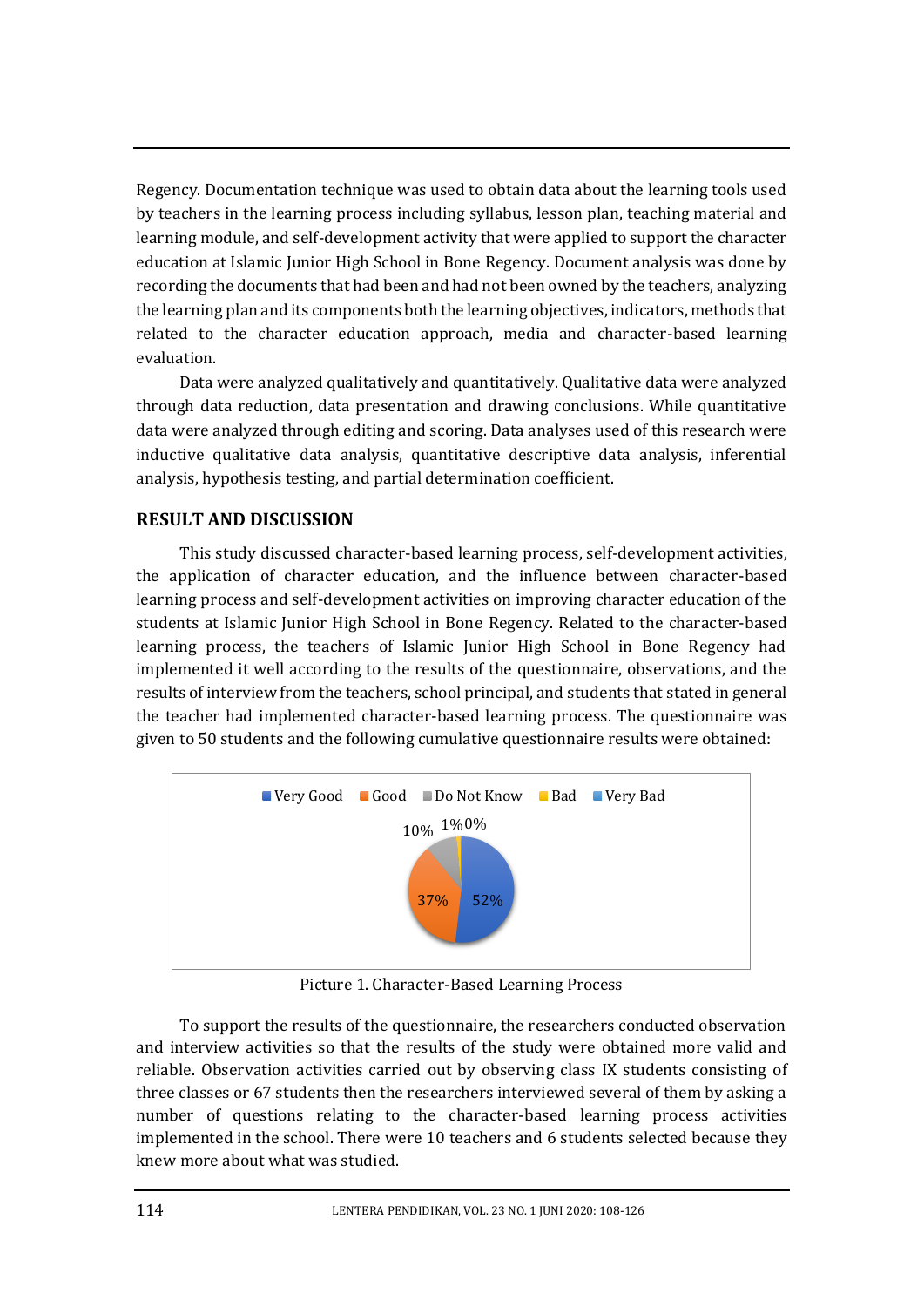Regency. Documentation technique was used to obtain data about the learning tools used by teachers in the learning process including syllabus, lesson plan, teaching material and learning module, and self-development activity that were applied to support the character education at Islamic Junior High School in Bone Regency. Document analysis was done by recording the documents that had been and had not been owned by the teachers, analyzing the learning plan and its components both the learning objectives, indicators, methods that related to the character education approach, media and character-based learning evaluation.

Data were analyzed qualitatively and quantitatively. Qualitative data were analyzed through data reduction, data presentation and drawing conclusions. While quantitative data were analyzed through editing and scoring. Data analyses used of this research were inductive qualitative data analysis, quantitative descriptive data analysis, inferential analysis, hypothesis testing, and partial determination coefficient.

# **RESULT AND DISCUSSION**

This study discussed character-based learning process, self-development activities, the application of character education, and the influence between character-based learning process and self-development activities on improving character education of the students at Islamic Junior High School in Bone Regency. Related to the character-based learning process, the teachers of Islamic Junior High School in Bone Regency had implemented it well according to the results of the questionnaire, observations, and the results of interview from the teachers, school principal, and students that stated in general the teacher had implemented character-based learning process. The questionnaire was given to 50 students and the following cumulative questionnaire results were obtained:



Picture 1. Character-Based Learning Process

To support the results of the questionnaire, the researchers conducted observation and interview activities so that the results of the study were obtained more valid and reliable. Observation activities carried out by observing class IX students consisting of three classes or 67 students then the researchers interviewed several of them by asking a number of questions relating to the character-based learning process activities implemented in the school. There were 10 teachers and 6 students selected because they knew more about what was studied.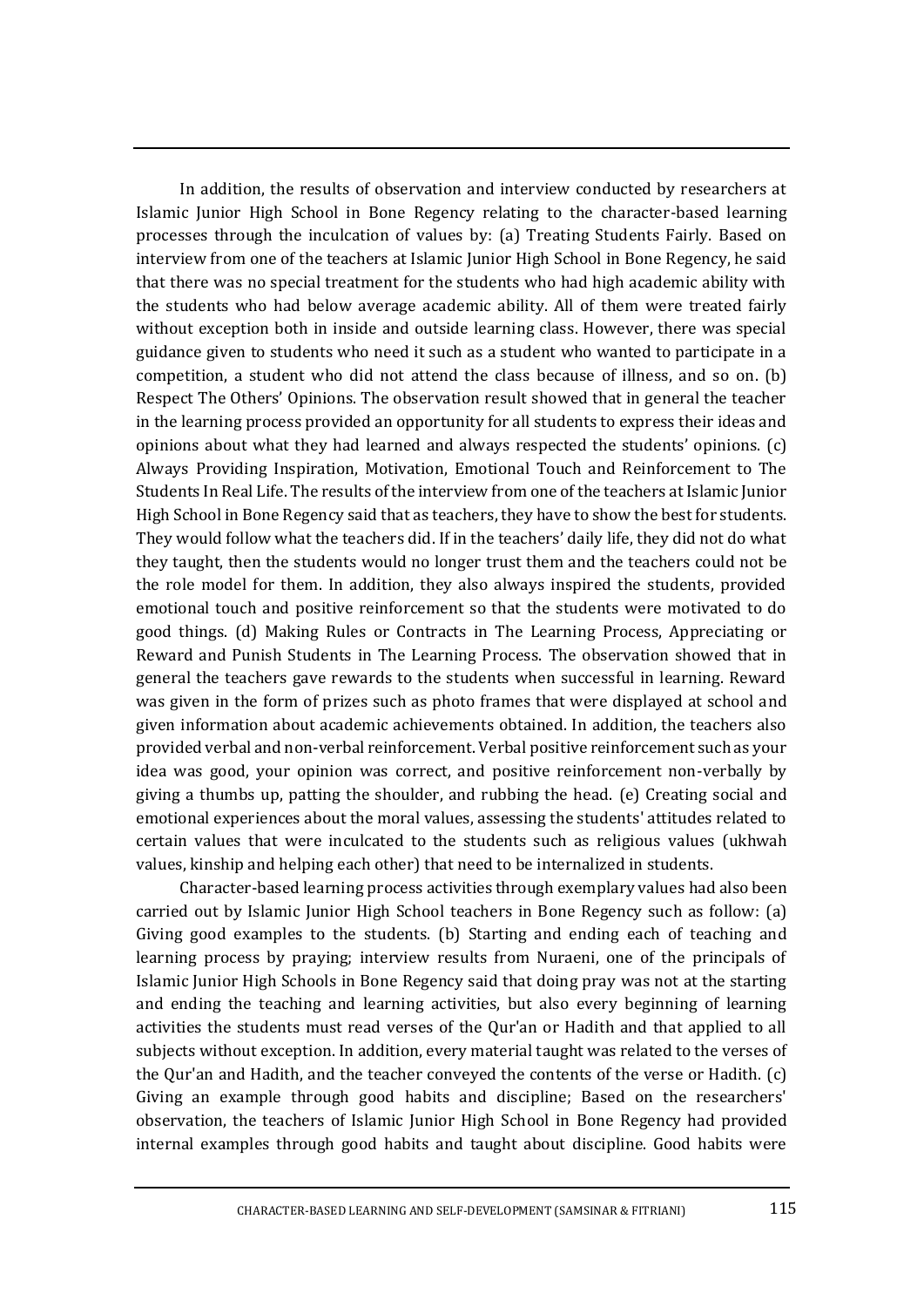In addition, the results of observation and interview conducted by researchers at Islamic Junior High School in Bone Regency relating to the character-based learning processes through the inculcation of values by: (a) Treating Students Fairly. Based on interview from one of the teachers at Islamic Junior High School in Bone Regency, he said that there was no special treatment for the students who had high academic ability with the students who had below average academic ability. All of them were treated fairly without exception both in inside and outside learning class. However, there was special guidance given to students who need it such as a student who wanted to participate in a competition, a student who did not attend the class because of illness, and so on. (b) Respect The Others' Opinions. The observation result showed that in general the teacher in the learning process provided an opportunity for all students to express their ideas and opinions about what they had learned and always respected the students' opinions. (c) Always Providing Inspiration, Motivation, Emotional Touch and Reinforcement to The Students In Real Life. The results of the interview from one of the teachers at Islamic Junior High School in Bone Regency said that as teachers, they have to show the best for students. They would follow what the teachers did. If in the teachers' daily life, they did not do what they taught, then the students would no longer trust them and the teachers could not be the role model for them. In addition, they also always inspired the students, provided emotional touch and positive reinforcement so that the students were motivated to do good things. (d) Making Rules or Contracts in The Learning Process, Appreciating or Reward and Punish Students in The Learning Process. The observation showed that in general the teachers gave rewards to the students when successful in learning. Reward was given in the form of prizes such as photo frames that were displayed at school and given information about academic achievements obtained. In addition, the teachers also provided verbal and non-verbal reinforcement. Verbal positive reinforcement such as your idea was good, your opinion was correct, and positive reinforcement non-verbally by giving a thumbs up, patting the shoulder, and rubbing the head. (e) Creating social and emotional experiences about the moral values, assessing the students' attitudes related to certain values that were inculcated to the students such as religious values (ukhwah values, kinship and helping each other) that need to be internalized in students.

Character-based learning process activities through exemplary values had also been carried out by Islamic Junior High School teachers in Bone Regency such as follow: (a) Giving good examples to the students. (b) Starting and ending each of teaching and learning process by praying; interview results from Nuraeni, one of the principals of Islamic Junior High Schools in Bone Regency said that doing pray was not at the starting and ending the teaching and learning activities, but also every beginning of learning activities the students must read verses of the Qur'an or Hadith and that applied to all subjects without exception. In addition, every material taught was related to the verses of the Qur'an and Hadith, and the teacher conveyed the contents of the verse or Hadith. (c) Giving an example through good habits and discipline; Based on the researchers' observation, the teachers of Islamic Junior High School in Bone Regency had provided internal examples through good habits and taught about discipline. Good habits were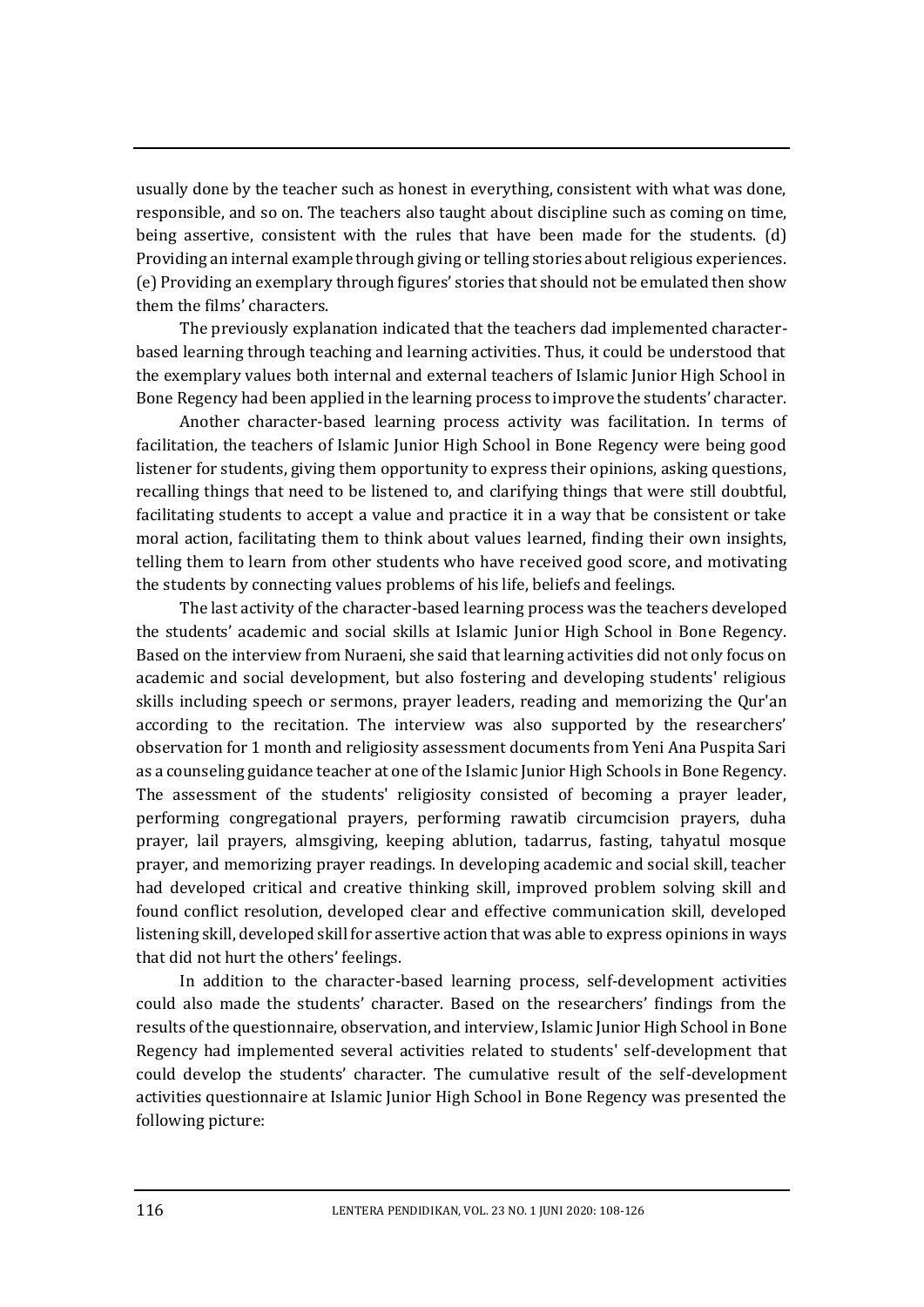usually done by the teacher such as honest in everything, consistent with what was done, responsible, and so on. The teachers also taught about discipline such as coming on time, being assertive, consistent with the rules that have been made for the students. (d) Providing an internal example through giving or telling stories about religious experiences. (e) Providing an exemplary through figures' stories that should not be emulated then show them the films' characters.

The previously explanation indicated that the teachers dad implemented characterbased learning through teaching and learning activities. Thus, it could be understood that the exemplary values both internal and external teachers of Islamic Junior High School in Bone Regency had been applied in the learning process to improve the students' character.

Another character-based learning process activity was facilitation. In terms of facilitation, the teachers of Islamic Junior High School in Bone Regency were being good listener for students, giving them opportunity to express their opinions, asking questions, recalling things that need to be listened to, and clarifying things that were still doubtful, facilitating students to accept a value and practice it in a way that be consistent or take moral action, facilitating them to think about values learned, finding their own insights, telling them to learn from other students who have received good score, and motivating the students by connecting values problems of his life, beliefs and feelings.

The last activity of the character-based learning process was the teachers developed the students' academic and social skills at Islamic Junior High School in Bone Regency. Based on the interview from Nuraeni, she said that learning activities did not only focus on academic and social development, but also fostering and developing students' religious skills including speech or sermons, prayer leaders, reading and memorizing the Qur'an according to the recitation. The interview was also supported by the researchers' observation for 1 month and religiosity assessment documents from Yeni Ana Puspita Sari as a counseling guidance teacher at one of the Islamic Junior High Schools in Bone Regency. The assessment of the students' religiosity consisted of becoming a prayer leader, performing congregational prayers, performing rawatib circumcision prayers, duha prayer, lail prayers, almsgiving, keeping ablution, tadarrus, fasting, tahyatul mosque prayer, and memorizing prayer readings. In developing academic and social skill, teacher had developed critical and creative thinking skill, improved problem solving skill and found conflict resolution, developed clear and effective communication skill, developed listening skill, developed skill for assertive action that was able to express opinions in ways that did not hurt the others' feelings.

In addition to the character-based learning process, self-development activities could also made the students' character. Based on the researchers' findings from the results of the questionnaire, observation, and interview, Islamic Junior High School in Bone Regency had implemented several activities related to students' self-development that could develop the students' character. The cumulative result of the self-development activities questionnaire at Islamic Junior High School in Bone Regency was presented the following picture: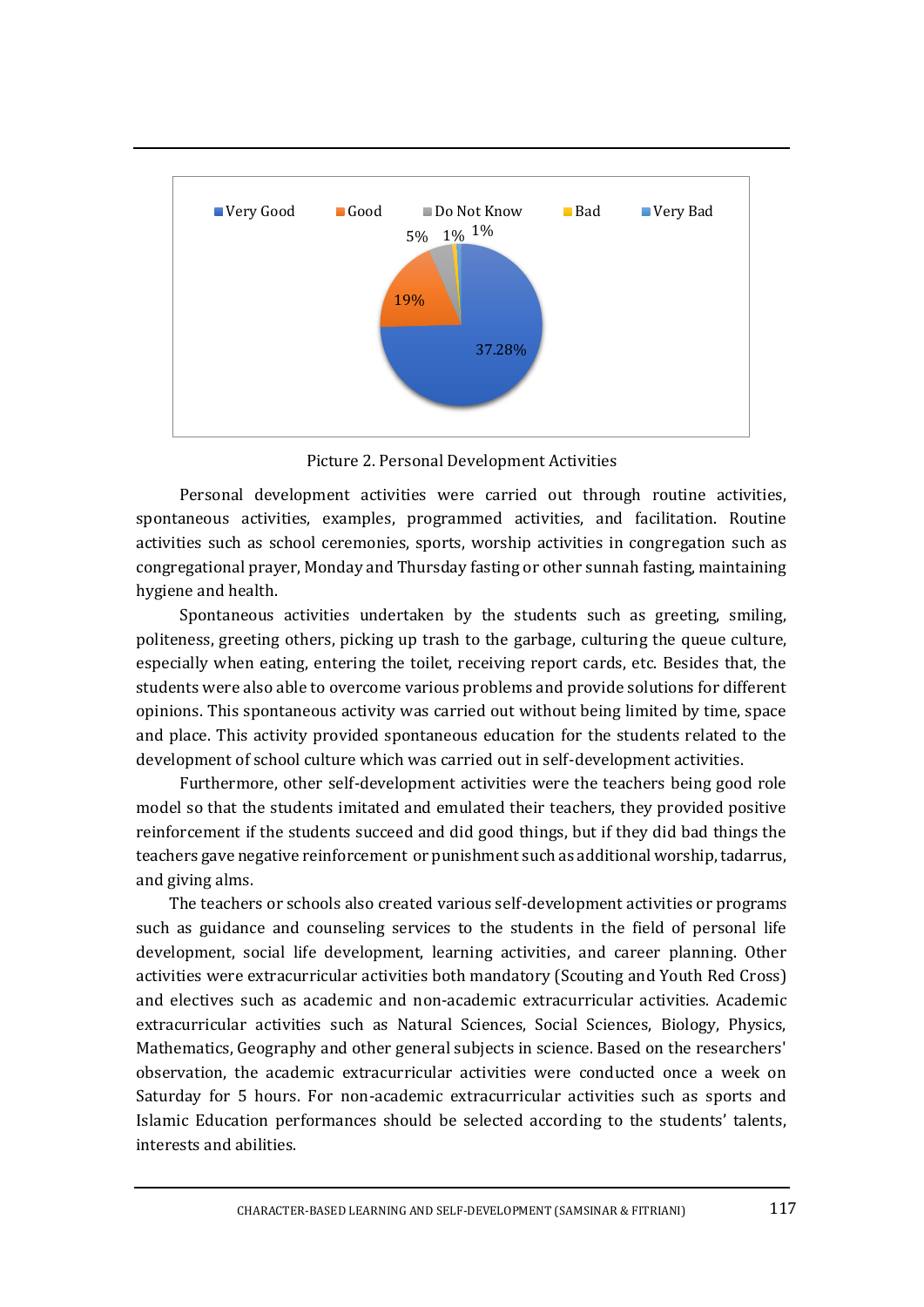

Picture 2. Personal Development Activities

Personal development activities were carried out through routine activities, spontaneous activities, examples, programmed activities, and facilitation. Routine activities such as school ceremonies, sports, worship activities in congregation such as congregational prayer, Monday and Thursday fasting or other sunnah fasting, maintaining hygiene and health.

Spontaneous activities undertaken by the students such as greeting, smiling, politeness, greeting others, picking up trash to the garbage, culturing the queue culture, especially when eating, entering the toilet, receiving report cards, etc. Besides that, the students were also able to overcome various problems and provide solutions for different opinions. This spontaneous activity was carried out without being limited by time, space and place. This activity provided spontaneous education for the students related to the development of school culture which was carried out in self-development activities.

Furthermore, other self-development activities were the teachers being good role model so that the students imitated and emulated their teachers, they provided positive reinforcement if the students succeed and did good things, but if they did bad things the teachers gave negative reinforcement or punishment such as additional worship, tadarrus, and giving alms.

The teachers or schools also created various self-development activities or programs such as guidance and counseling services to the students in the field of personal life development, social life development, learning activities, and career planning. Other activities were extracurricular activities both mandatory (Scouting and Youth Red Cross) and electives such as academic and non-academic extracurricular activities. Academic extracurricular activities such as Natural Sciences, Social Sciences, Biology, Physics, Mathematics, Geography and other general subjects in science. Based on the researchers' observation, the academic extracurricular activities were conducted once a week on Saturday for 5 hours. For non-academic extracurricular activities such as sports and Islamic Education performances should be selected according to the students' talents, interests and abilities.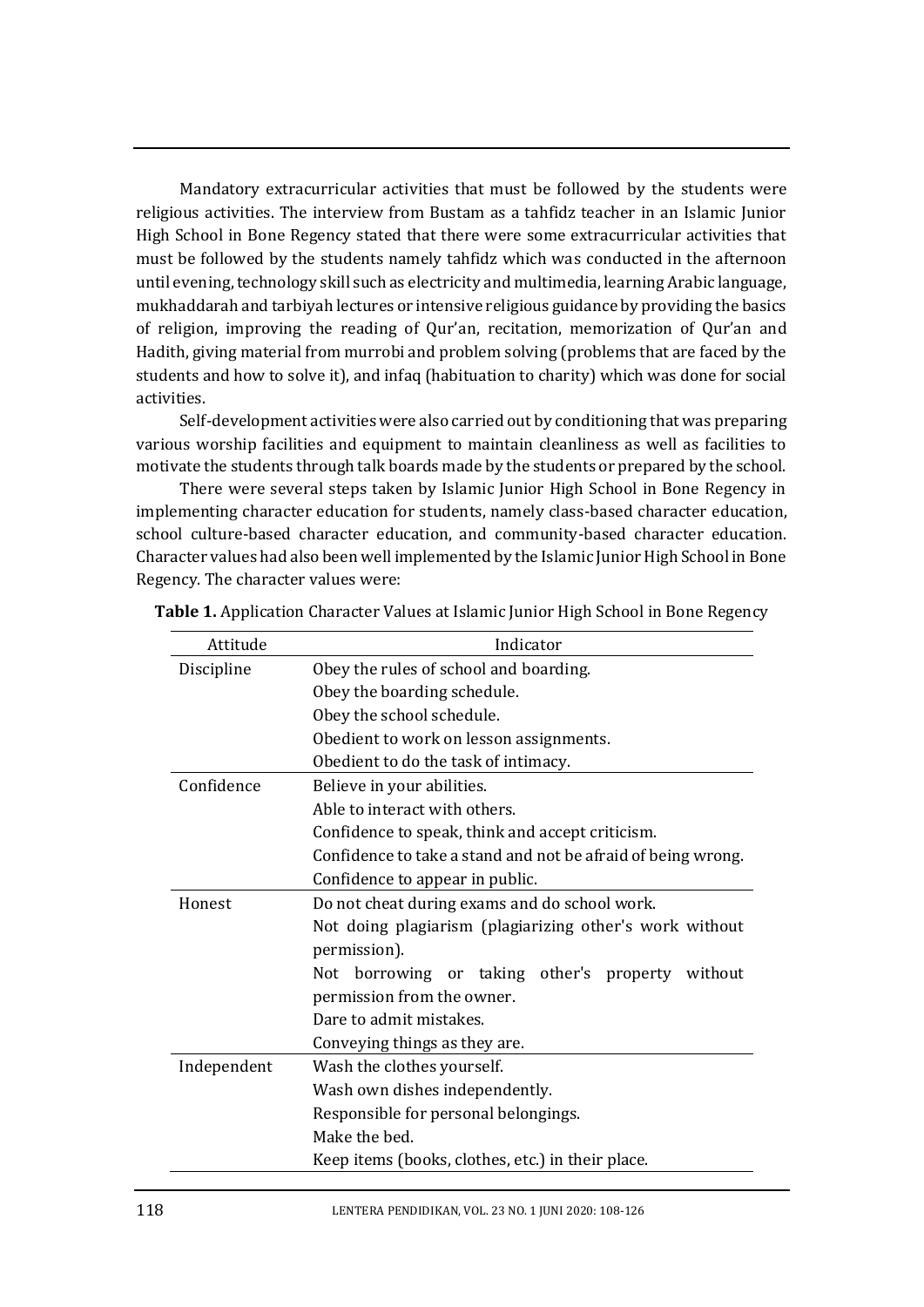Mandatory extracurricular activities that must be followed by the students were religious activities. The interview from Bustam as a tahfidz teacher in an Islamic Junior High School in Bone Regency stated that there were some extracurricular activities that must be followed by the students namely tahfidz which was conducted in the afternoon until evening, technology skill such as electricity and multimedia, learning Arabic language, mukhaddarah and tarbiyah lectures or intensive religious guidance by providing the basics of religion, improving the reading of Qur'an, recitation, memorization of Qur'an and Hadith, giving material from murrobi and problem solving (problems that are faced by the students and how to solve it), and infaq (habituation to charity) which was done for social activities.

Self-development activities were also carried out by conditioning that was preparing various worship facilities and equipment to maintain cleanliness as well as facilities to motivate the students through talk boards made by the students or prepared by the school.

There were several steps taken by Islamic Junior High School in Bone Regency in implementing character education for students, namely class-based character education, school culture-based character education, and community-based character education. Character values had also been well implemented by the Islamic Junior High School in Bone Regency. The character values were:

| Attitude    | Indicator                                                    |
|-------------|--------------------------------------------------------------|
| Discipline  | Obey the rules of school and boarding.                       |
|             | Obey the boarding schedule.                                  |
|             | Obey the school schedule.                                    |
|             | Obedient to work on lesson assignments.                      |
|             | Obedient to do the task of intimacy.                         |
| Confidence  | Believe in your abilities.                                   |
|             | Able to interact with others.                                |
|             | Confidence to speak, think and accept criticism.             |
|             | Confidence to take a stand and not be afraid of being wrong. |
|             | Confidence to appear in public.                              |
| Honest      | Do not cheat during exams and do school work.                |
|             | Not doing plagiarism (plagiarizing other's work without      |
|             | permission).                                                 |
|             | Not borrowing or taking other's property without             |
|             | permission from the owner.                                   |
|             | Dare to admit mistakes.                                      |
|             | Conveying things as they are.                                |
| Independent | Wash the clothes yourself.                                   |
|             | Wash own dishes independently.                               |
|             | Responsible for personal belongings.                         |
|             | Make the bed.                                                |
|             | Keep items (books, clothes, etc.) in their place.            |

**Table 1.** Application Character Values at Islamic Junior High School in Bone Regency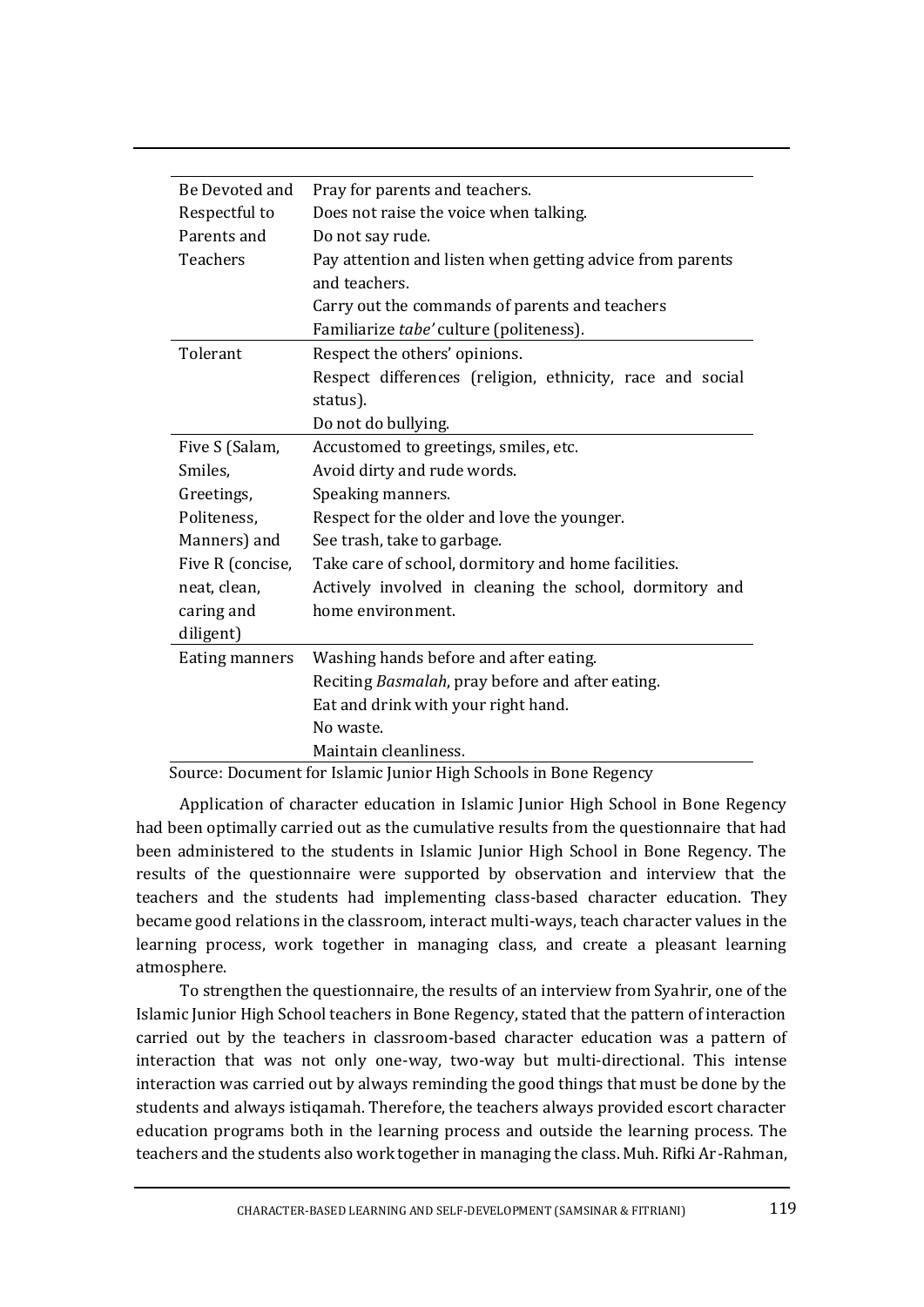| Be Devoted and   | Pray for parents and teachers.                                   |
|------------------|------------------------------------------------------------------|
| Respectful to    | Does not raise the voice when talking.                           |
| Parents and      | Do not say rude.                                                 |
| Teachers         | Pay attention and listen when getting advice from parents        |
|                  | and teachers.                                                    |
|                  | Carry out the commands of parents and teachers                   |
|                  | Familiarize tabe' culture (politeness).                          |
| Tolerant         | Respect the others' opinions.                                    |
|                  | Respect differences (religion, ethnicity, race and social        |
|                  | status).                                                         |
|                  | Do not do bullying.                                              |
| Five S (Salam,   | Accustomed to greetings, smiles, etc.                            |
| Smiles,          | Avoid dirty and rude words.                                      |
| Greetings,       | Speaking manners.                                                |
| Politeness,      | Respect for the older and love the younger.                      |
| Manners) and     | See trash, take to garbage.                                      |
| Five R (concise, | Take care of school, dormitory and home facilities.              |
| neat, clean,     | Actively involved in cleaning the school, dormitory and          |
| caring and       | home environment.                                                |
| diligent)        |                                                                  |
| Eating manners   | Washing hands before and after eating.                           |
|                  | Reciting Basmalah, pray before and after eating.                 |
|                  | Eat and drink with your right hand.                              |
|                  | No waste.                                                        |
|                  | Maintain cleanliness.                                            |
|                  | Source: Document for Islamic Junior High Schools in Rone Regency |

Source: Document for Islamic Junior High Schools in Bone Regency

Application of character education in Islamic Junior High School in Bone Regency had been optimally carried out as the cumulative results from the questionnaire that had been administered to the students in Islamic Junior High School in Bone Regency. The results of the questionnaire were supported by observation and interview that the teachers and the students had implementing class-based character education. They became good relations in the classroom, interact multi-ways, teach character values in the learning process, work together in managing class, and create a pleasant learning atmosphere.

To strengthen the questionnaire, the results of an interview from Syahrir, one of the Islamic Junior High School teachers in Bone Regency, stated that the pattern of interaction carried out by the teachers in classroom-based character education was a pattern of interaction that was not only one-way, two-way but multi-directional. This intense interaction was carried out by always reminding the good things that must be done by the students and always istiqamah. Therefore, the teachers always provided escort character education programs both in the learning process and outside the learning process. The teachers and the students also work together in managing the class. Muh. Rifki Ar-Rahman,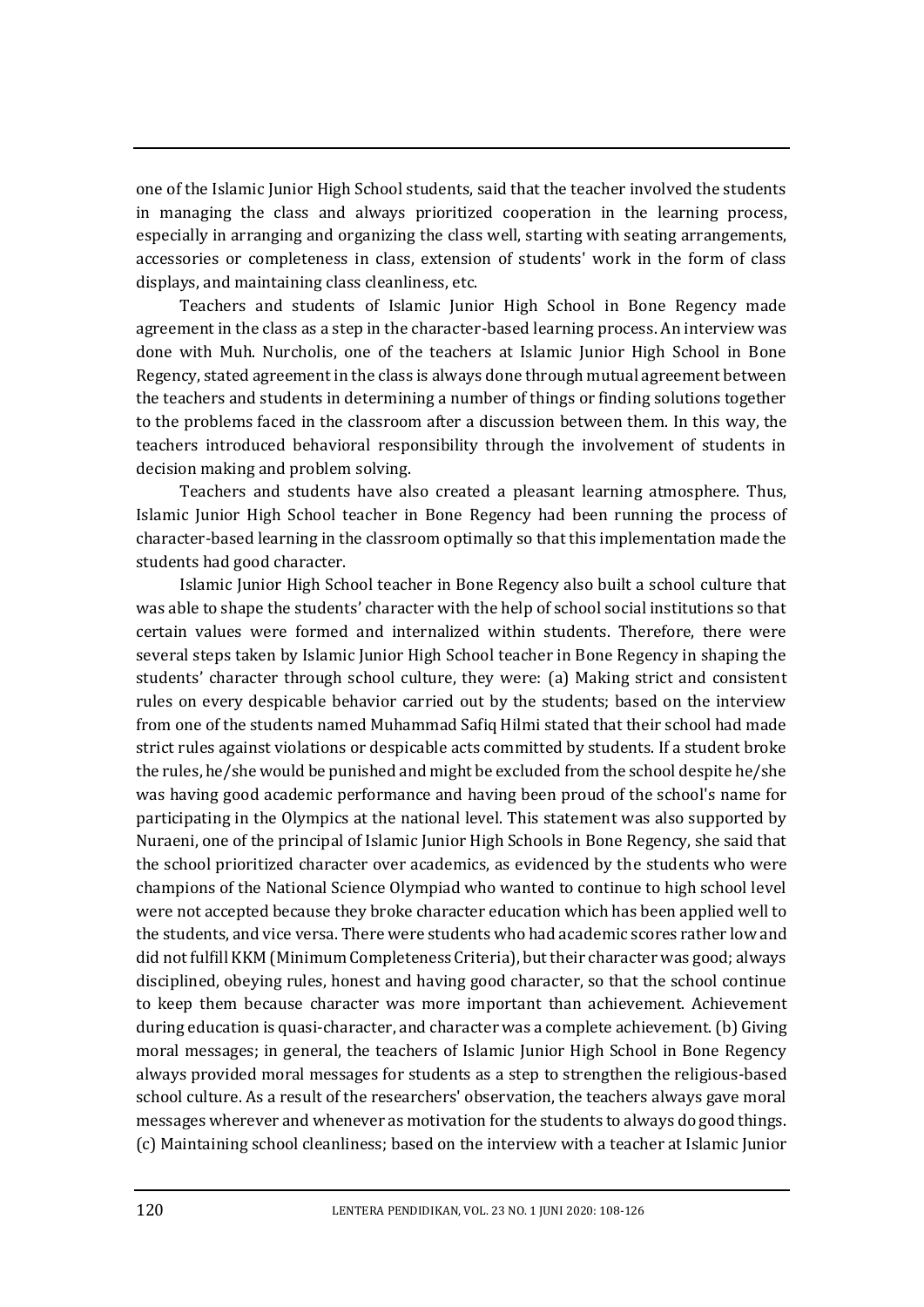one of the Islamic Junior High School students, said that the teacher involved the students in managing the class and always prioritized cooperation in the learning process, especially in arranging and organizing the class well, starting with seating arrangements, accessories or completeness in class, extension of students' work in the form of class displays, and maintaining class cleanliness, etc.

Teachers and students of Islamic Junior High School in Bone Regency made agreement in the class as a step in the character-based learning process. An interview was done with Muh. Nurcholis, one of the teachers at Islamic Junior High School in Bone Regency, stated agreement in the class is always done through mutual agreement between the teachers and students in determining a number of things or finding solutions together to the problems faced in the classroom after a discussion between them. In this way, the teachers introduced behavioral responsibility through the involvement of students in decision making and problem solving.

Teachers and students have also created a pleasant learning atmosphere. Thus, Islamic Junior High School teacher in Bone Regency had been running the process of character-based learning in the classroom optimally so that this implementation made the students had good character.

Islamic Junior High School teacher in Bone Regency also built a school culture that was able to shape the students' character with the help of school social institutions so that certain values were formed and internalized within students. Therefore, there were several steps taken by Islamic Junior High School teacher in Bone Regency in shaping the students' character through school culture, they were: (a) Making strict and consistent rules on every despicable behavior carried out by the students; based on the interview from one of the students named Muhammad Safiq Hilmi stated that their school had made strict rules against violations or despicable acts committed by students. If a student broke the rules, he/she would be punished and might be excluded from the school despite he/she was having good academic performance and having been proud of the school's name for participating in the Olympics at the national level. This statement was also supported by Nuraeni, one of the principal of Islamic Junior High Schools in Bone Regency, she said that the school prioritized character over academics, as evidenced by the students who were champions of the National Science Olympiad who wanted to continue to high school level were not accepted because they broke character education which has been applied well to the students, and vice versa. There were students who had academic scores rather low and did not fulfill KKM (Minimum Completeness Criteria), but their character was good; always disciplined, obeying rules, honest and having good character, so that the school continue to keep them because character was more important than achievement. Achievement during education is quasi-character, and character was a complete achievement. (b) Giving moral messages; in general, the teachers of Islamic Junior High School in Bone Regency always provided moral messages for students as a step to strengthen the religious-based school culture. As a result of the researchers' observation, the teachers always gave moral messages wherever and whenever as motivation for the students to always do good things. (c) Maintaining school cleanliness; based on the interview with a teacher at Islamic Junior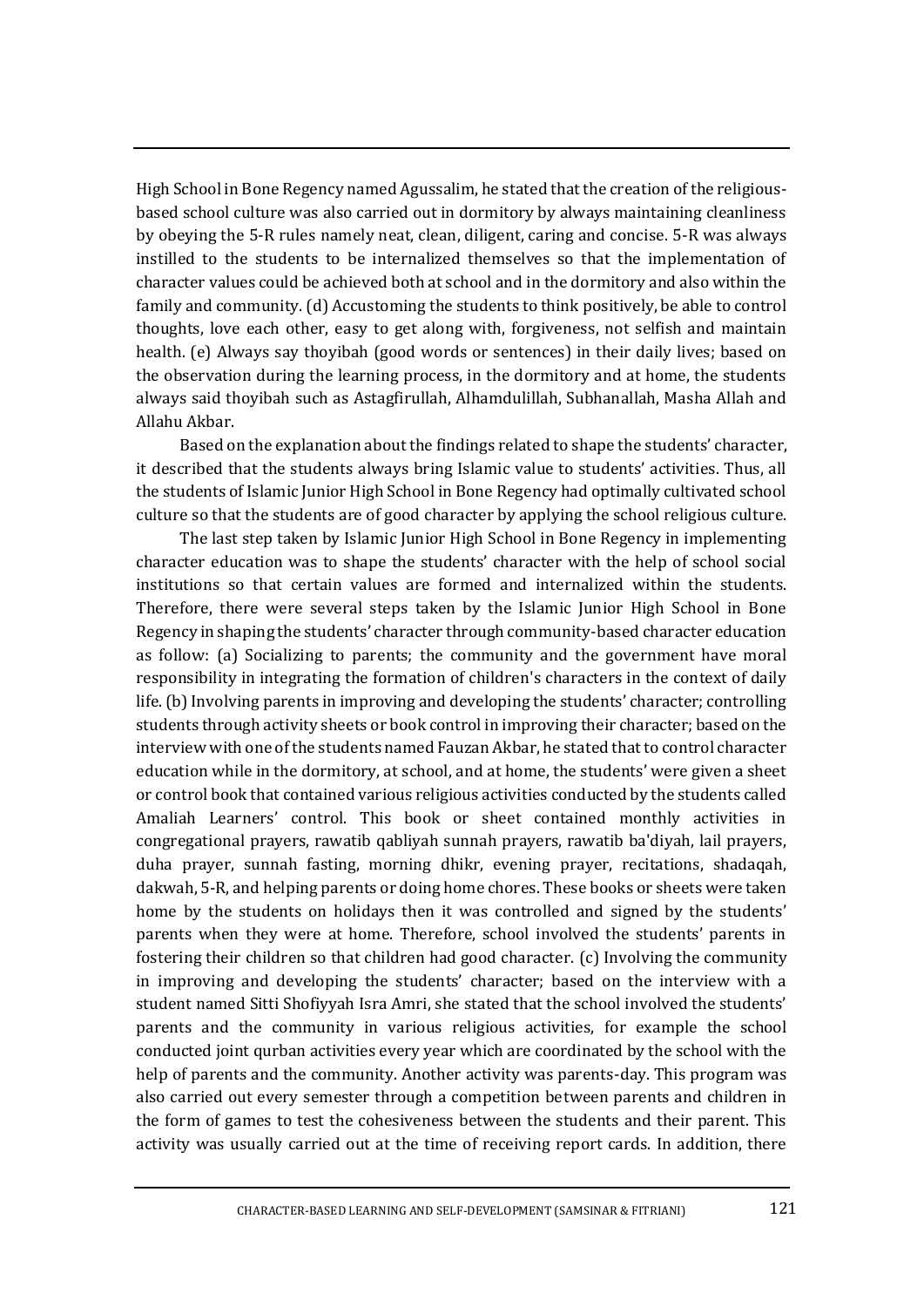High School in Bone Regency named Agussalim, he stated that the creation of the religiousbased school culture was also carried out in dormitory by always maintaining cleanliness by obeying the 5-R rules namely neat, clean, diligent, caring and concise. 5-R was always instilled to the students to be internalized themselves so that the implementation of character values could be achieved both at school and in the dormitory and also within the family and community. (d) Accustoming the students to think positively, be able to control thoughts, love each other, easy to get along with, forgiveness, not selfish and maintain health. (e) Always say thoyibah (good words or sentences) in their daily lives; based on the observation during the learning process, in the dormitory and at home, the students always said thoyibah such as Astagfirullah, Alhamdulillah, Subhanallah, Masha Allah and Allahu Akbar.

Based on the explanation about the findings related to shape the students' character, it described that the students always bring Islamic value to students' activities. Thus, all the students of Islamic Junior High School in Bone Regency had optimally cultivated school culture so that the students are of good character by applying the school religious culture.

The last step taken by Islamic Junior High School in Bone Regency in implementing character education was to shape the students' character with the help of school social institutions so that certain values are formed and internalized within the students. Therefore, there were several steps taken by the Islamic Junior High School in Bone Regency in shaping the students' character through community-based character education as follow: (a) Socializing to parents; the community and the government have moral responsibility in integrating the formation of children's characters in the context of daily life.(b) Involving parents in improving and developing the students' character; controlling students through activity sheets or book control in improving their character; based on the interview with one of the students named Fauzan Akbar, he stated that to control character education while in the dormitory, at school, and at home, the students' were given a sheet or control book that contained various religious activities conducted by the students called Amaliah Learners' control. This book or sheet contained monthly activities in congregational prayers, rawatib qabliyah sunnah prayers, rawatib ba'diyah, lail prayers, duha prayer, sunnah fasting, morning dhikr, evening prayer, recitations, shadaqah, dakwah, 5-R, and helping parents or doing home chores. These books or sheets were taken home by the students on holidays then it was controlled and signed by the students' parents when they were at home. Therefore, school involved the students' parents in fostering their children so that children had good character. (c) Involving the community in improving and developing the students' character; based on the interview with a student named Sitti Shofiyyah Isra Amri, she stated that the school involved the students' parents and the community in various religious activities, for example the school conducted joint qurban activities every year which are coordinated by the school with the help of parents and the community. Another activity was parents-day. This program was also carried out every semester through a competition between parents and children in the form of games to test the cohesiveness between the students and their parent. This activity was usually carried out at the time of receiving report cards. In addition, there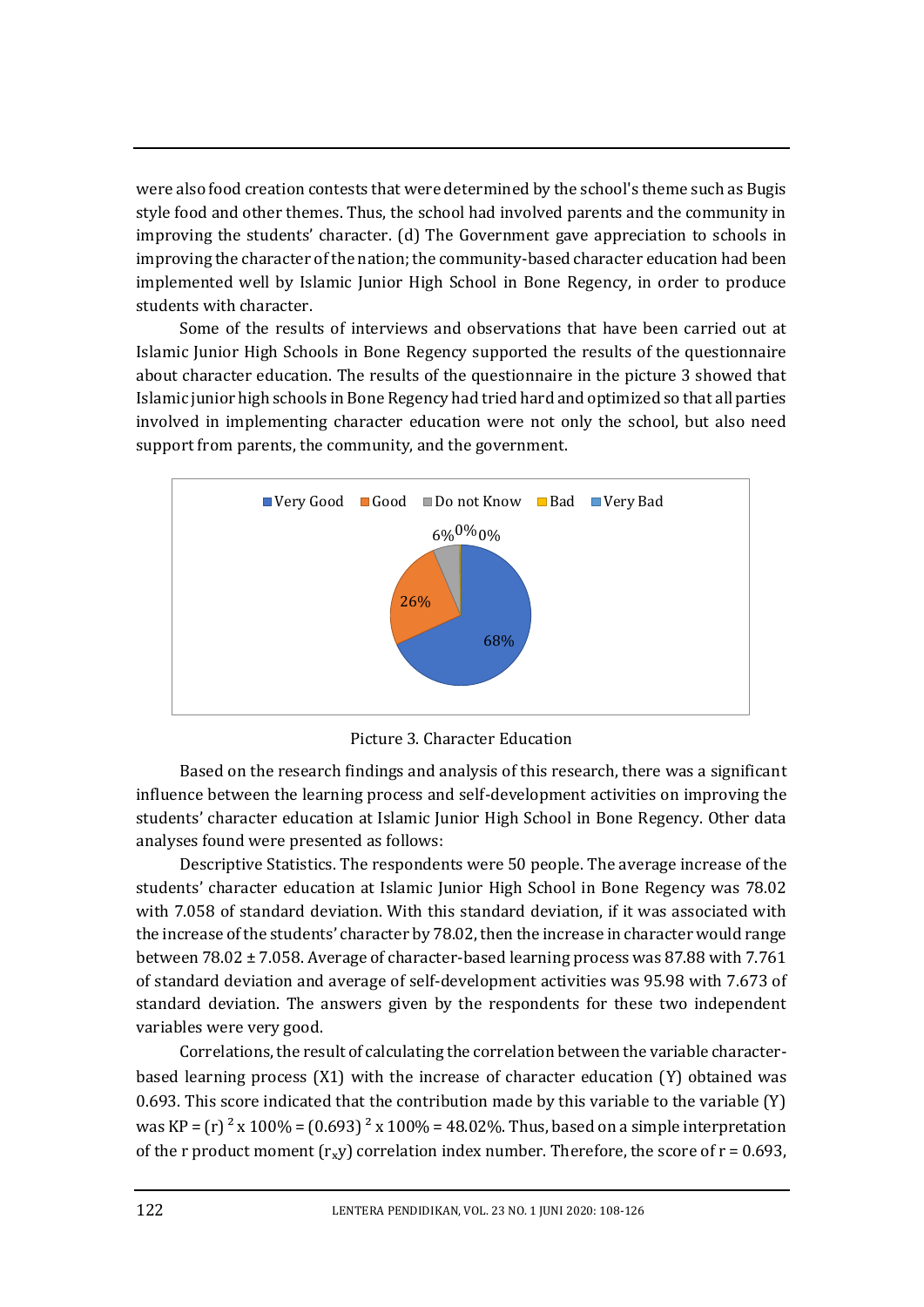were also food creation contests that were determined by the school's theme such as Bugis style food and other themes. Thus, the school had involved parents and the community in improving the students' character. (d) The Government gave appreciation to schools in improving the character of the nation; the community-based character education had been implemented well by Islamic Junior High School in Bone Regency, in order to produce students with character.

Some of the results of interviews and observations that have been carried out at Islamic Junior High Schools in Bone Regency supported the results of the questionnaire about character education. The results of the questionnaire in the picture 3 showed that Islamic junior high schools in Bone Regency had tried hard and optimized so that all parties involved in implementing character education were not only the school, but also need support from parents, the community, and the government.



Picture 3. Character Education

Based on the research findings and analysis of this research, there was a significant influence between the learning process and self-development activities on improving the students' character education at Islamic Junior High School in Bone Regency. Other data analyses found were presented as follows:

Descriptive Statistics. The respondents were 50 people. The average increase of the students' character education at Islamic Junior High School in Bone Regency was 78.02 with 7.058 of standard deviation. With this standard deviation, if it was associated with the increase of the students' character by 78.02, then the increase in character would range between 78.02 ± 7.058. Average of character-based learning process was 87.88 with 7.761 of standard deviation and average of self-development activities was 95.98 with 7.673 of standard deviation. The answers given by the respondents for these two independent variables were very good.

Correlations, the result of calculating the correlation between the variable characterbased learning process (X1) with the increase of character education (Y) obtained was 0.693. This score indicated that the contribution made by this variable to the variable (Y) was KP =  $(r)^2$  x 100% =  $(0.693)^2$  x 100% = 48.02%. Thus, based on a simple interpretation of the r product moment  $(r_x y)$  correlation index number. Therefore, the score of  $r = 0.693$ ,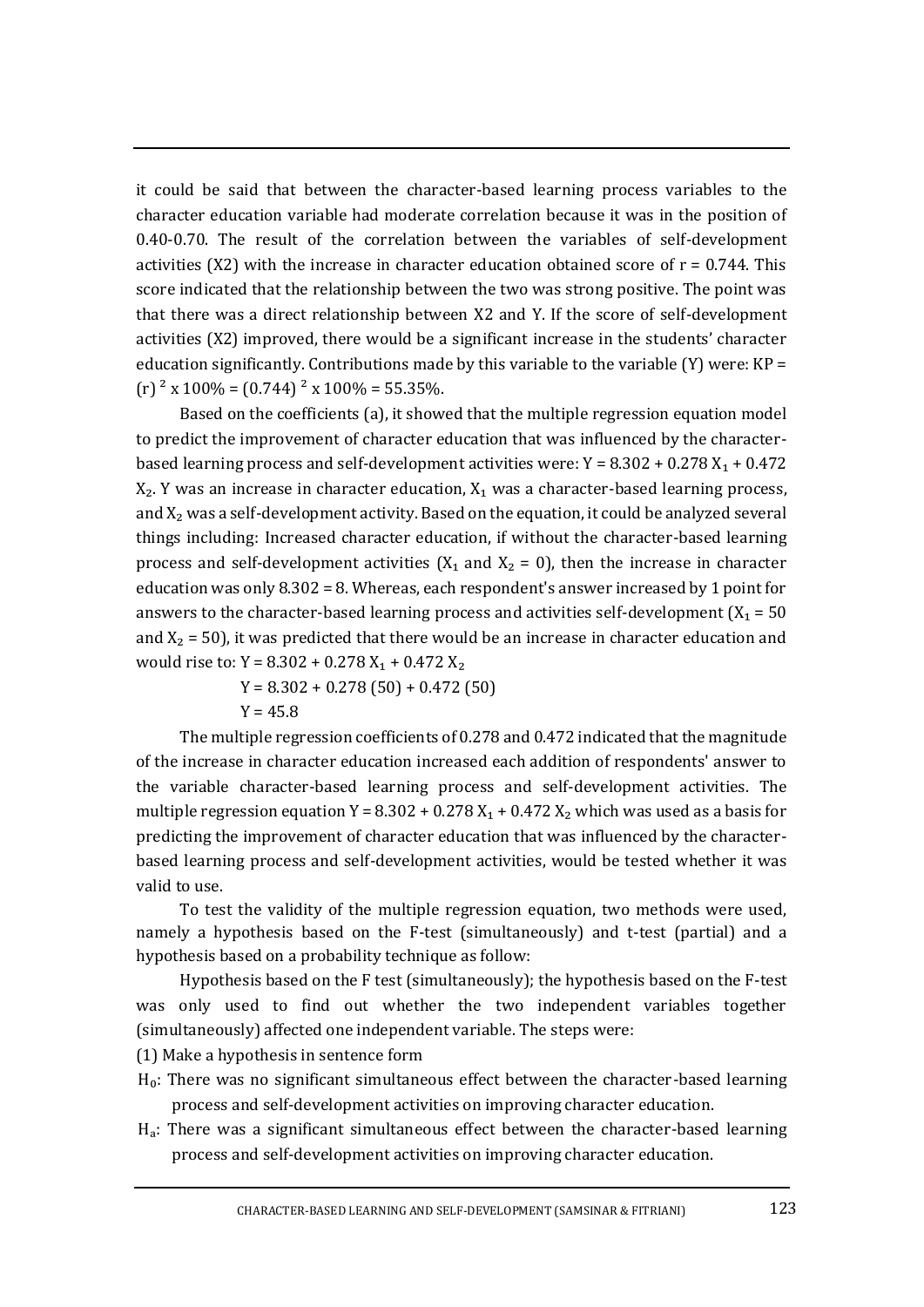it could be said that between the character-based learning process variables to the character education variable had moderate correlation because it was in the position of 0.40-0.70. The result of the correlation between the variables of self-development activities (X2) with the increase in character education obtained score of  $r = 0.744$ . This score indicated that the relationship between the two was strong positive. The point was that there was a direct relationship between X2 and Y. If the score of self-development activities (X2) improved, there would be a significant increase in the students' character education significantly. Contributions made by this variable to the variable (Y) were:  $KP =$  $(r)$ <sup>2</sup> x 100% = (0.744)<sup>2</sup> x 100% = 55.35%.

Based on the coefficients (a), it showed that the multiple regression equation model to predict the improvement of character education that was influenced by the characterbased learning process and self-development activities were:  $Y = 8.302 + 0.278 X_1 + 0.472$  $X_2$ . Y was an increase in character education,  $X_1$  was a character-based learning process, and  $X_2$  was a self-development activity. Based on the equation, it could be analyzed several things including: Increased character education, if without the character-based learning process and self-development activities ( $X_1$  and  $X_2 = 0$ ), then the increase in character education was only 8.302 = 8. Whereas, each respondent's answer increased by 1 point for answers to the character-based learning process and activities self-development  $(X_1 = 50$ and  $X_2 = 50$ ), it was predicted that there would be an increase in character education and would rise to: Y = 8.302 + 0.278  $X_1$  + 0.472  $X_2$ 

 $Y = 8.302 + 0.278(50) + 0.472(50)$ 

 $Y = 45.8$ 

The multiple regression coefficients of 0.278 and 0.472 indicated that the magnitude of the increase in character education increased each addition of respondents' answer to the variable character-based learning process and self-development activities. The multiple regression equation Y =  $8.302 + 0.278 X_1 + 0.472 X_2$  which was used as a basis for predicting the improvement of character education that was influenced by the characterbased learning process and self-development activities, would be tested whether it was valid to use.

To test the validity of the multiple regression equation, two methods were used, namely a hypothesis based on the F-test (simultaneously) and t-test (partial) and a hypothesis based on a probability technique as follow:

Hypothesis based on the F test (simultaneously); the hypothesis based on the F-test was only used to find out whether the two independent variables together (simultaneously) affected one independent variable. The steps were:

(1) Make a hypothesis in sentence form

- Ho: There was no significant simultaneous effect between the character-based learning process and self-development activities on improving character education.
- $H_a$ : There was a significant simultaneous effect between the character-based learning process and self-development activities on improving character education.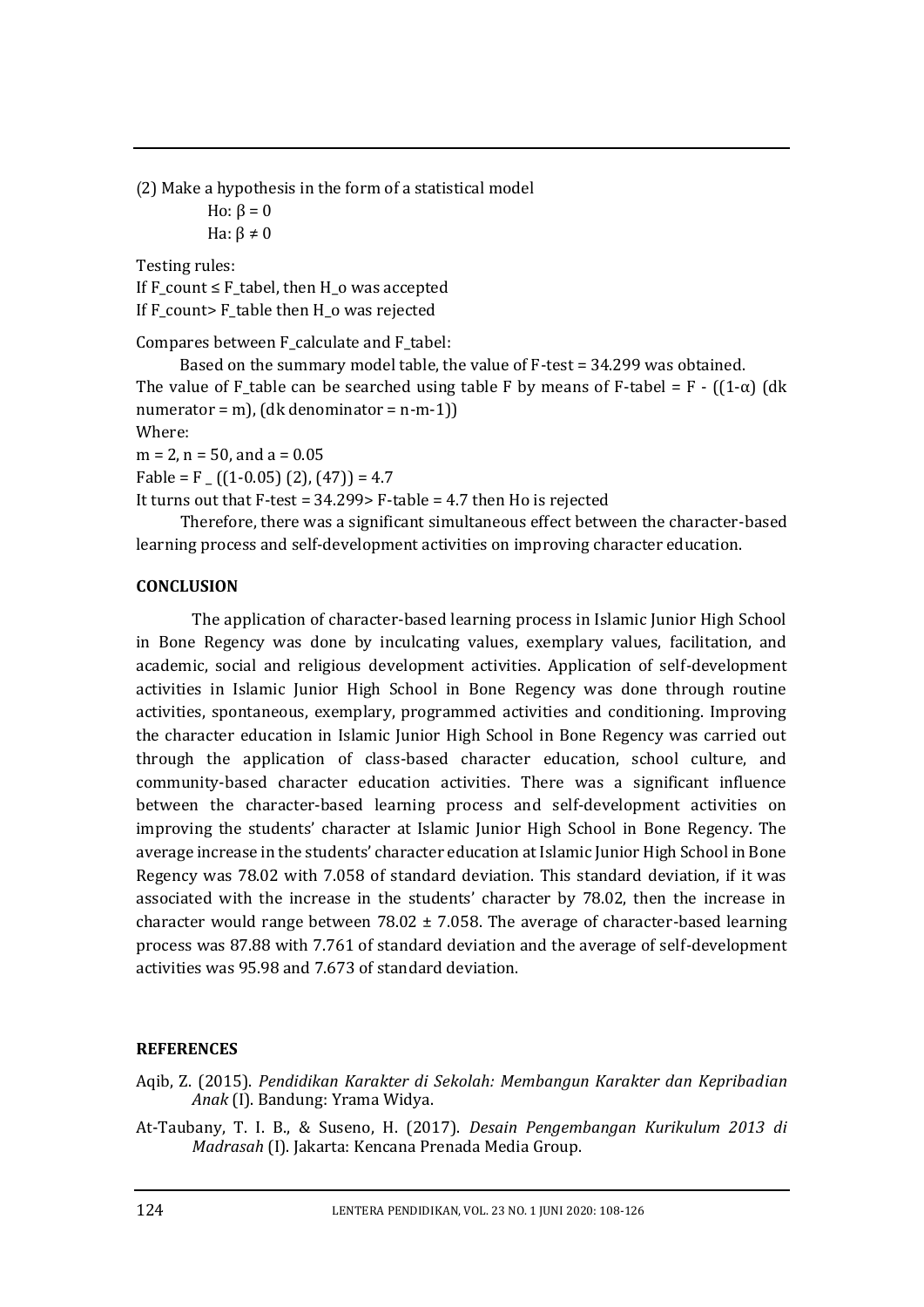(2) Make a hypothesis in the form of a statistical model Ho:  $β = 0$ Ha:  $\beta \neq 0$ 

Testing rules: If  $F_{\text{count}} \leq F_{\text{table}}$ , then H<sub>o</sub> was accepted If F\_count> F\_table then H\_o was rejected

Compares between F\_calculate and F\_tabel:

Based on the summary model table, the value of F-test = 34.299 was obtained. The value of F\_table can be searched using table F by means of F-tabel = F -  $((1-\alpha)$  (dk numerator = m),  $(dk$  denominator = n-m-1) Where:

 $m = 2$ ,  $n = 50$ , and  $a = 0.05$ Fable = F  $_{-}$  ((1-0.05) (2), (47)) = 4.7 It turns out that F-test = 34.299> F-table = 4.7 then Ho is rejected

Therefore, there was a significant simultaneous effect between the character-based learning process and self-development activities on improving character education.

# **CONCLUSION**

The application of character-based learning process in Islamic Junior High School in Bone Regency was done by inculcating values, exemplary values, facilitation, and academic, social and religious development activities. Application of self-development activities in Islamic Junior High School in Bone Regency was done through routine activities, spontaneous, exemplary, programmed activities and conditioning. Improving the character education in Islamic Junior High School in Bone Regency was carried out through the application of class-based character education, school culture, and community-based character education activities. There was a significant influence between the character-based learning process and self-development activities on improving the students' character at Islamic Junior High School in Bone Regency. The average increase in the students' character education at Islamic Junior High School in Bone Regency was 78.02 with 7.058 of standard deviation. This standard deviation, if it was associated with the increase in the students' character by 78.02, then the increase in character would range between  $78.02 \pm 7.058$ . The average of character-based learning process was 87.88 with 7.761 of standard deviation and the average of self-development activities was 95.98 and 7.673 of standard deviation.

## **REFERENCES**

- Aqib, Z. (2015). *Pendidikan Karakter di Sekolah: Membangun Karakter dan Kepribadian Anak* (I). Bandung: Yrama Widya.
- At-Taubany, T. I. B., & Suseno, H. (2017). *Desain Pengembangan Kurikulum 2013 di Madrasah* (I). Jakarta: Kencana Prenada Media Group.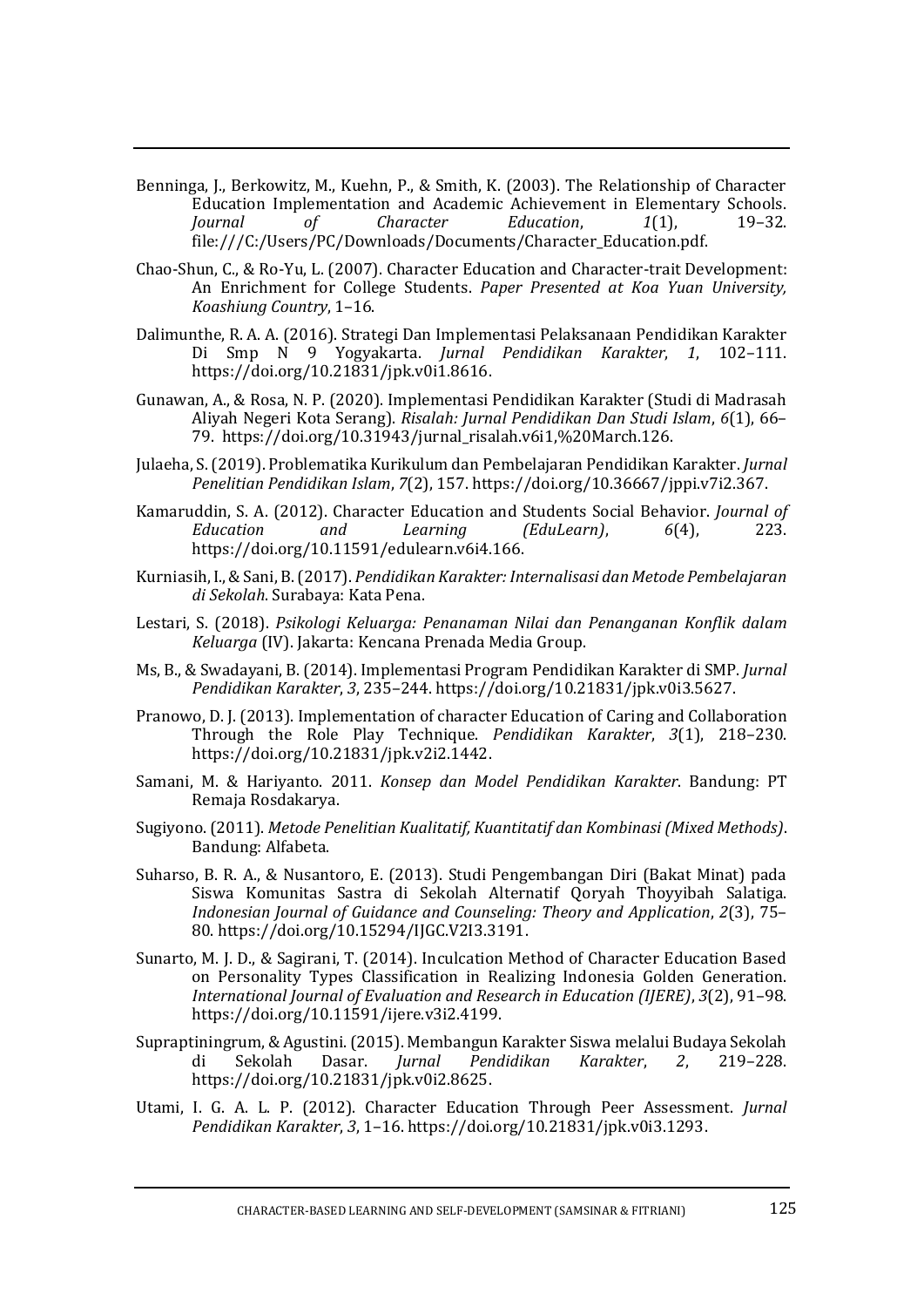- Benninga, J., Berkowitz, M., Kuehn, P., & Smith, K. (2003). The Relationship of Character Education Implementation and Academic Achievement in Elementary Schools. *Journal of Character Education*, *1*(1), 19–32. file:///C:/Users/PC/Downloads/Documents/Character\_Education.pdf.
- Chao-Shun, C., & Ro-Yu, L. (2007). Character Education and Character-trait Development: An Enrichment for College Students. *Paper Presented at Koa Yuan University, Koashiung Country*, 1–16.
- Dalimunthe, R. A. A. (2016). Strategi Dan Implementasi Pelaksanaan Pendidikan Karakter Di Smp N 9 Yogyakarta. *Jurnal Pendidikan Karakter*, *1*, 102–111. https://doi.org/10.21831/jpk.v0i1.8616.
- Gunawan, A., & Rosa, N. P. (2020). Implementasi Pendidikan Karakter (Studi di Madrasah Aliyah Negeri Kota Serang). *Risalah: Jurnal Pendidikan Dan Studi Islam*, *6*(1), 66– 79. https://doi.org/10.31943/jurnal\_risalah.v6i1,%20March.126.
- Julaeha, S. (2019). Problematika Kurikulum dan Pembelajaran Pendidikan Karakter. *Jurnal Penelitian Pendidikan Islam*, *7*(2), 157. https://doi.org/10.36667/jppi.v7i2.367.
- Kamaruddin, S. A. (2012). Character Education and Students Social Behavior. *Journal of Education and Learning (EduLearn)*, *6*(4), 223. https://doi.org/10.11591/edulearn.v6i4.166.
- Kurniasih, I., & Sani, B. (2017). *Pendidikan Karakter: Internalisasi dan Metode Pembelajaran di Sekolah*. Surabaya: Kata Pena.
- Lestari, S. (2018). *Psikologi Keluarga: Penanaman Nilai dan Penanganan Konflik dalam Keluarga* (IV). Jakarta: Kencana Prenada Media Group.
- Ms, B., & Swadayani, B. (2014). Implementasi Program Pendidikan Karakter di SMP. *Jurnal Pendidikan Karakter*, *3*, 235–244. https://doi.org/10.21831/jpk.v0i3.5627.
- Pranowo, D. J. (2013). Implementation of character Education of Caring and Collaboration Through the Role Play Technique. *Pendidikan Karakter*, *3*(1), 218–230. https://doi.org/10.21831/jpk.v2i2.1442.
- Samani, M. & Hariyanto. 2011. *Konsep dan Model Pendidikan Karakter*. Bandung: PT Remaja Rosdakarya.
- Sugiyono. (2011). *Metode Penelitian Kualitatif, Kuantitatif dan Kombinasi (Mixed Methods)*. Bandung: Alfabeta.
- Suharso, B. R. A., & Nusantoro, E. (2013). Studi Pengembangan Diri (Bakat Minat) pada Siswa Komunitas Sastra di Sekolah Alternatif Qoryah Thoyyibah Salatiga. *Indonesian Journal of Guidance and Counseling: Theory and Application*, *2*(3), 75– 80. https://doi.org/10.15294/IJGC.V2I3.3191.
- Sunarto, M. J. D., & Sagirani, T. (2014). Inculcation Method of Character Education Based on Personality Types Classification in Realizing Indonesia Golden Generation. *International Journal of Evaluation and Research in Education (IJERE)*, *3*(2), 91–98. https://doi.org/10.11591/ijere.v3i2.4199.
- Supraptiningrum, & Agustini. (2015). Membangun Karakter Siswa melalui Budaya Sekolah di Sekolah Dasar. *Jurnal Pendidikan Karakter*, *2*, 219–228. https://doi.org/10.21831/jpk.v0i2.8625.
- Utami, I. G. A. L. P. (2012). Character Education Through Peer Assessment. *Jurnal Pendidikan Karakter*, *3*, 1–16. https://doi.org/10.21831/jpk.v0i3.1293.